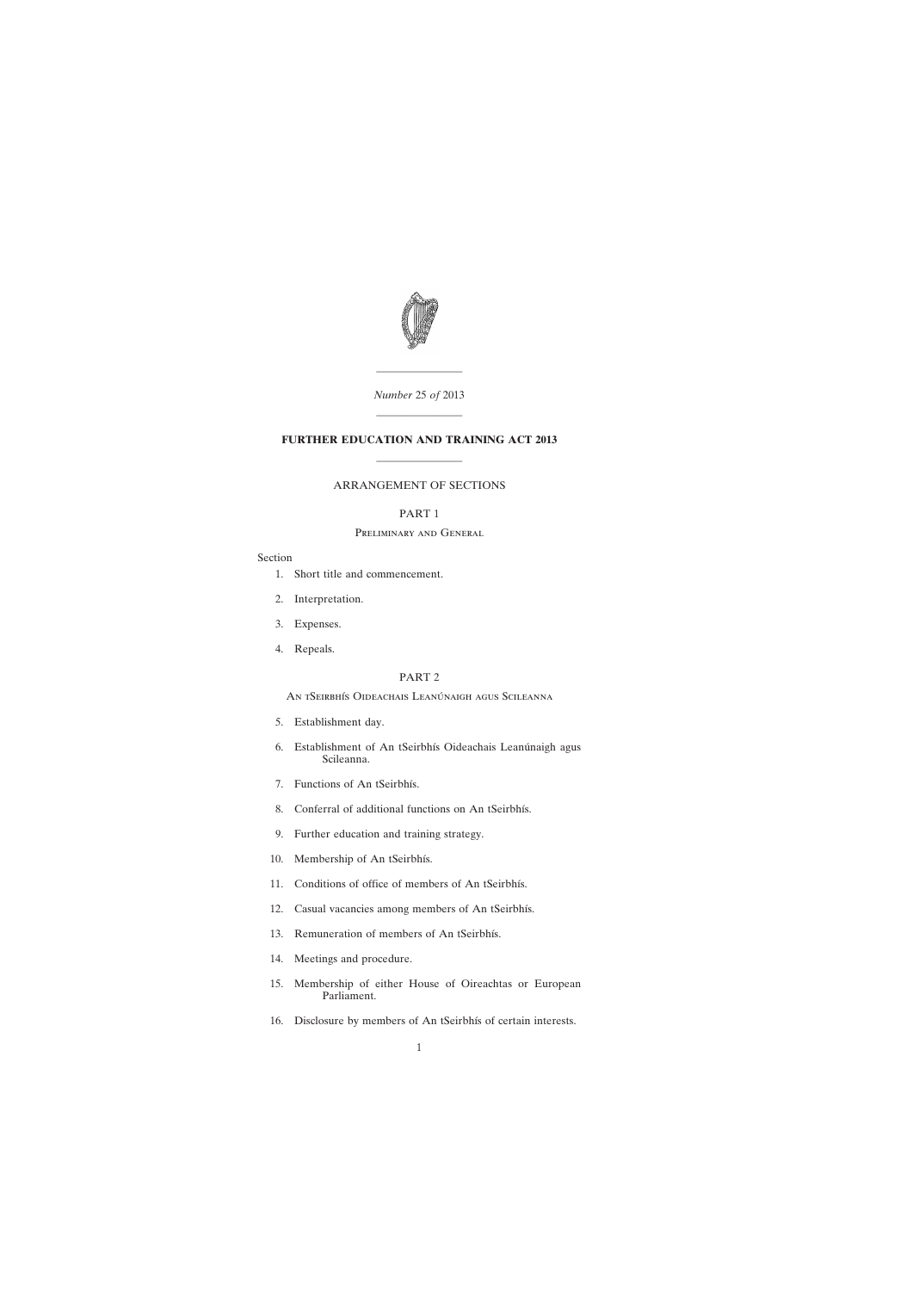

# *Number* 25 *of* 2013

————————

————————

# **FURTHER EDUCATION AND TRAINING ACT 2013**

# ARRANGEMENT OF SECTIONS

————————

# PART 1

# Preliminary and General

### Section

- [1. Short title and commencement.](#page-4-0)
- [2. Interpretation.](#page-4-0)
- [3. Expenses.](#page-5-0)
- [4. Repeals.](#page-5-0)

## PART 2

An tSeirbhís Oideachais Leanúnaigh agus Scileanna

- [5. Establishment day.](#page-5-0)
- [6. Establishment of An tSeirbhís Oideachais Leanúnaigh agus](#page-5-0) Scileanna.
- [7. Functions of An tSeirbhís.](#page-5-0)
- [8. Conferral of additional functions on An tSeirbhís.](#page-7-0)
- [9. Further education and training strategy.](#page-7-0)
- [10. Membership of An tSeirbhís.](#page-8-0)
- [11. Conditions of office of members of An tSeirbhís.](#page-10-0)
- [12. Casual vacancies among members of An tSeirbhís.](#page-10-0)
- [13. Remuneration of members of An tSeirbhís.](#page-11-0)
- [14. Meetings and procedure.](#page-11-0)
- [15. Membership of either House of Oireachtas or European](#page-11-0) Parliament.
- [16. Disclosure by members of An tSeirbhís of certain interests.](#page-12-0)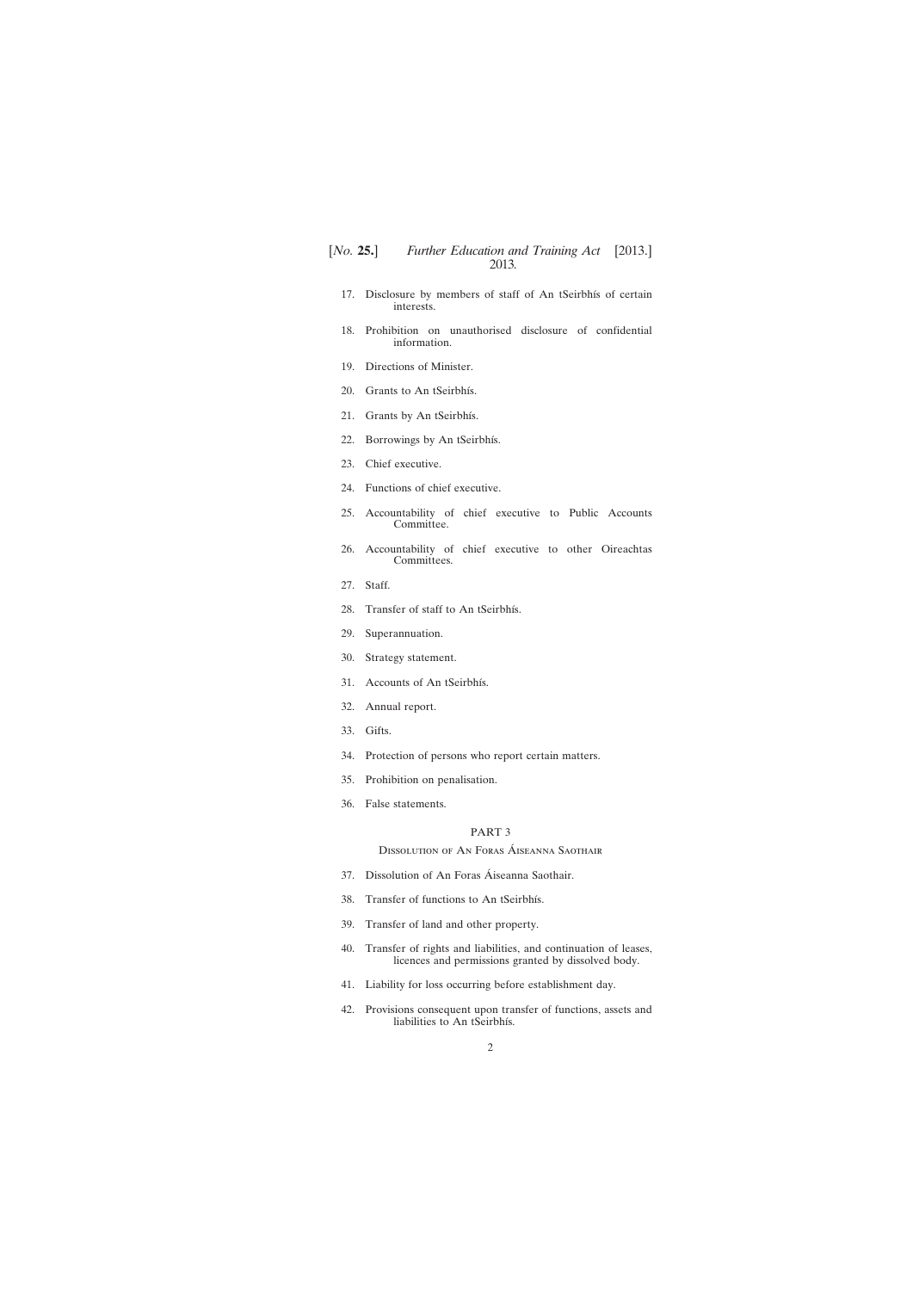- [17. Disclosure by members of staff of An tSeirbhís of certain](#page-13-0) interests.
- [18. Prohibition on unauthorised disclosure of confidential](#page-13-0) information.
- [19. Directions of Minister.](#page-14-0)
- [20. Grants to An tSeirbhís.](#page-14-0)
- [21. Grants by An tSeirbhís.](#page-14-0)
- [22. Borrowings by An tSeirbhís.](#page-15-0)
- [23. Chief executive.](#page-15-0)
- [24. Functions of chief executive.](#page-15-0)
- [25. Accountability of chief executive to Public Accounts](#page-16-0) Committee.
- [26. Accountability of chief executive to other Oireachtas](#page-16-0) Committees.
- [27. Staff.](#page-17-0)
- [28. Transfer of staff to An tSeirbhís.](#page-18-0)
- [29. Superannuation.](#page-18-0)
- [30. Strategy statement.](#page-20-0)
- [31. Accounts of An tSeirbhís.](#page-20-0)
- [32. Annual report.](#page-21-0)
- [33. Gifts.](#page-21-0)
- [34. Protection of persons who report certain matters.](#page-21-0)
- [35. Prohibition on penalisation.](#page-22-0)
- [36. False statements.](#page-23-0)

# PART 3

Dissolution of An Foras Áiseanna Saothair

- [37. Dissolution of An Foras](#page-23-0) Áiseanna Saothair.
- [38. Transfer of functions to An tSeirbhís.](#page-23-0)
- [39. Transfer of land and other property.](#page-24-0)
- [40. Transfer of rights and liabilities, and continuation of leases,](#page-24-0) licences and permissions granted by dissolved body.
- [41. Liability for loss occurring before establishment day.](#page-24-0)
- [42. Provisions consequent upon transfer of functions, assets and](#page-25-0) liabilities to An tSeirbhís.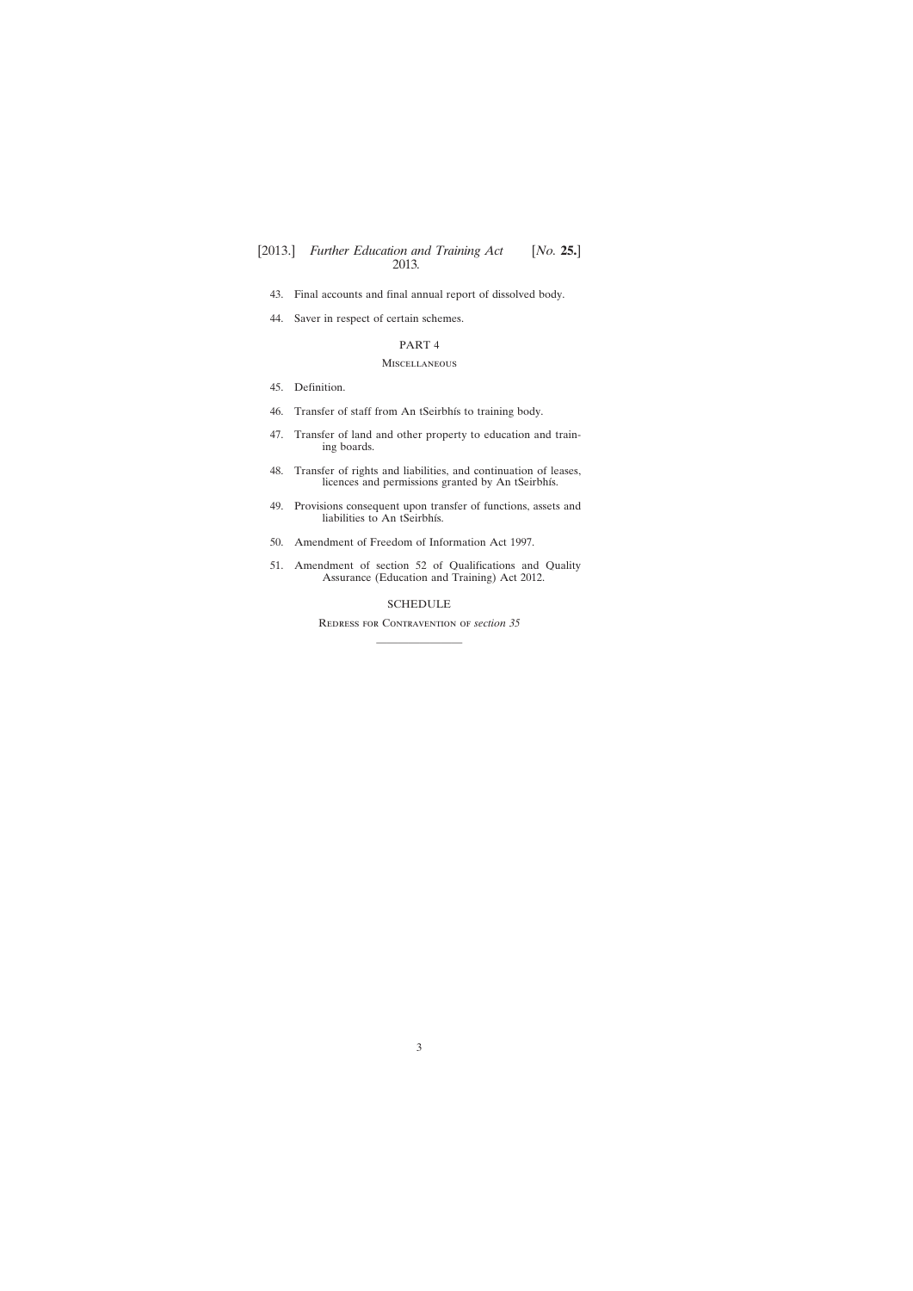- [43. Final accounts and final annual report of dissolved body.](#page-25-0)
- [44. Saver in respect of certain schemes.](#page-26-0)

## PART 4

## Miscellaneous

- [45. Definition.](#page-26-0)
- [46. Transfer of staff from An tSeirbhís to training body.](#page-26-0)
- [47. Transfer of land and other property to education and train](#page-27-0)ing boards.
- [48. Transfer of rights and liabilities, and continuation of leases,](#page-28-0) licences and permissions granted by An tSeirbhís.
- [49. Provisions consequent upon transfer of functions, assets and](#page-28-0) liabilities to An tSeirbhís.
- [50. Amendment of Freedom of Information Act 1997.](#page-28-0)
- [51. Amendment of section 52 of Qualifications and Quality](#page-29-0) Assurance (Education and Training) Act 2012.

# [SCHEDULE](#page-30-0)

Redress for Contravention of *section 35* ————————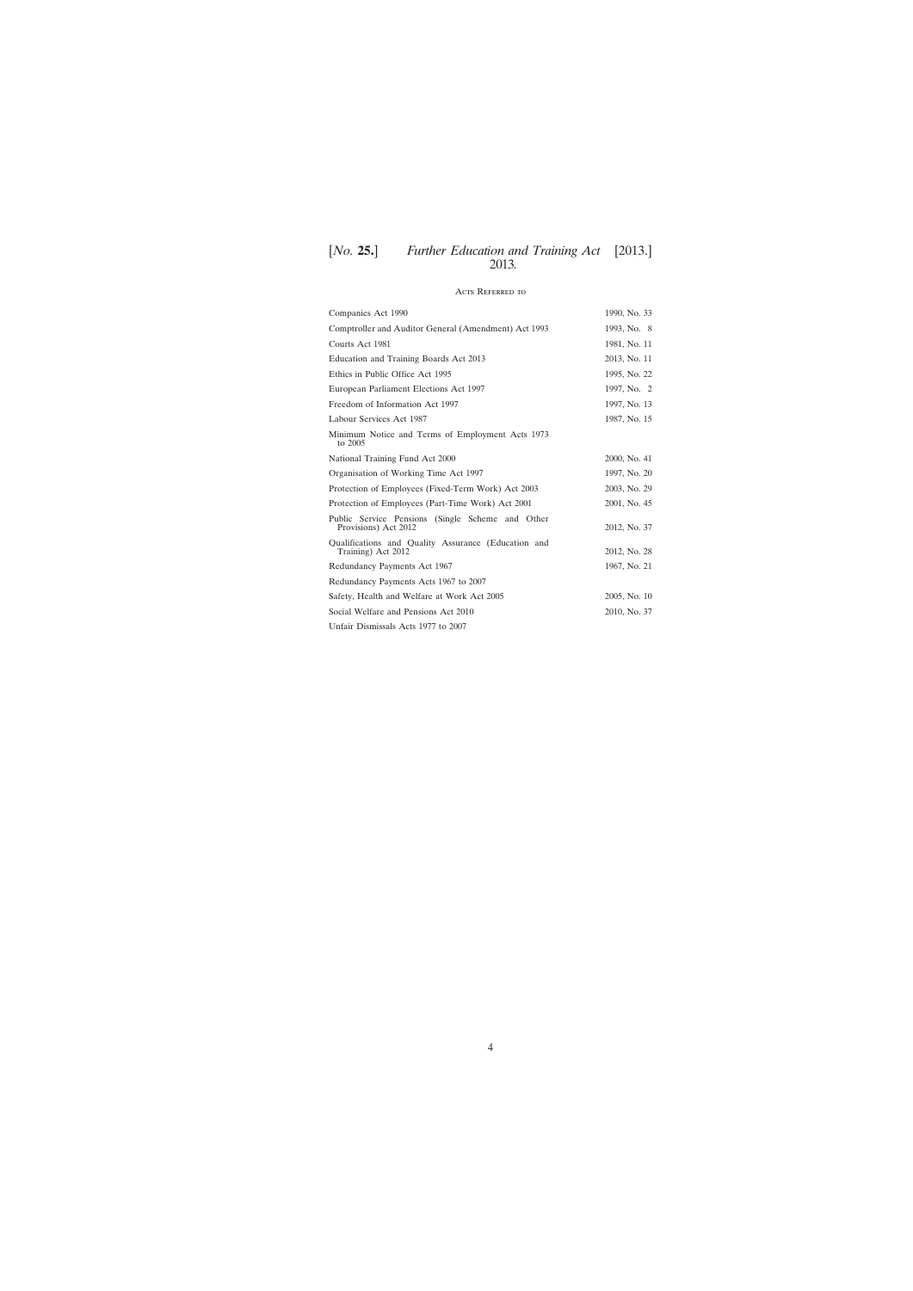# Acts Referred to

| Companies Act 1990                                                        | 1990, No. 33 |
|---------------------------------------------------------------------------|--------------|
| Comptroller and Auditor General (Amendment) Act 1993                      | 1993, No. 8  |
| Courts Act 1981                                                           | 1981, No. 11 |
| Education and Training Boards Act 2013                                    | 2013, No. 11 |
| Ethics in Public Office Act 1995                                          | 1995, No. 22 |
| European Parliament Elections Act 1997                                    | 1997, No. 2  |
| Freedom of Information Act 1997                                           | 1997, No. 13 |
| Labour Services Act 1987                                                  | 1987, No. 15 |
| Minimum Notice and Terms of Employment Acts 1973<br>to 2005               |              |
| National Training Fund Act 2000                                           | 2000, No. 41 |
| Organisation of Working Time Act 1997                                     | 1997, No. 20 |
| Protection of Employees (Fixed-Term Work) Act 2003                        | 2003, No. 29 |
| Protection of Employees (Part-Time Work) Act 2001                         | 2001, No. 45 |
| Public Service Pensions (Single Scheme and Other<br>Provisions) Act 2012  | 2012, No. 37 |
| Qualifications and Quality Assurance (Education and<br>Training) Act 2012 | 2012, No. 28 |
| Redundancy Payments Act 1967                                              | 1967, No. 21 |
| Redundancy Payments Acts 1967 to 2007                                     |              |
| Safety, Health and Welfare at Work Act 2005                               | 2005, No. 10 |
| Social Welfare and Pensions Act 2010                                      | 2010, No. 37 |
| Unfair Dismissals Acts 1977 to 2007                                       |              |

4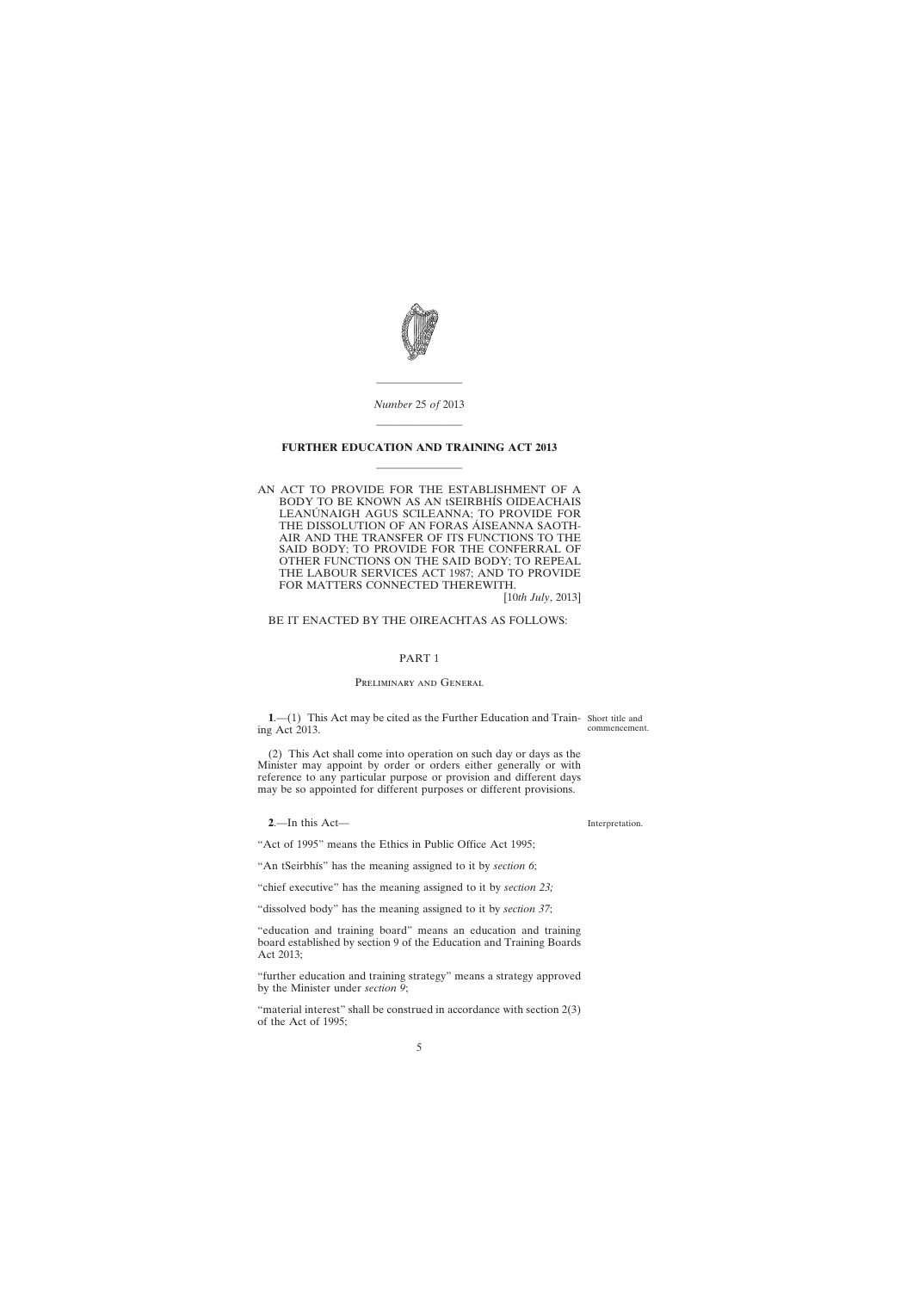<span id="page-4-0"></span>

*Number* 25 *of* 2013

————————

# **FURTHER EDUCATION AND TRAINING ACT 2013** ————————

————————

AN ACT TO PROVIDE FOR THE ESTABLISHMENT OF A BODY TO BE KNOWN AS AN tSEIRBHÍS OIDEACHAIS LEANÚNAIGH AGUS SCILEANNA; TO PROVIDE FOR THE DISSOLUTION OF AN FORAS ÁISEANNA SAOTH-AIR AND THE TRANSFER OF ITS FUNCTIONS TO THE SAID BODY; TO PROVIDE FOR THE CONFERRAL OF OTHER FUNCTIONS ON THE SAID BODY; TO REPEAL THE LABOUR SERVICES ACT 1987; AND TO PROVIDE FOR MATTERS CONNECTED THEREWITH.

[10*th July*, 2013]

# BE IT ENACTED BY THE OIREACHTAS AS FOLLOWS:

## PART 1

#### Preliminary and General

**1**.—(1) This Act may be cited as the Further Education and Train-Short title and ing Act 2013. commencement.

(2) This Act shall come into operation on such day or days as the Minister may appoint by order or orders either generally or with reference to any particular purpose or provision and different days may be so appointed for different purposes or different provisions.

**2**.—In this Act—

"Act of 1995" means the Ethics in Public Office Act 1995;

"An tSeirbhís" has the meaning assigned to it by *section 6*;

"chief executive" has the meaning assigned to it by *section 23;*

"dissolved body" has the meaning assigned to it by *section 37*;

"education and training board" means an education and training board established by section 9 of the Education and Training Boards Act 2013;

"further education and training strategy" means a strategy approved by the Minister under *section 9*;

"material interest" shall be construed in accordance with section  $2(3)$ of the Act of 1995;

Interpretation.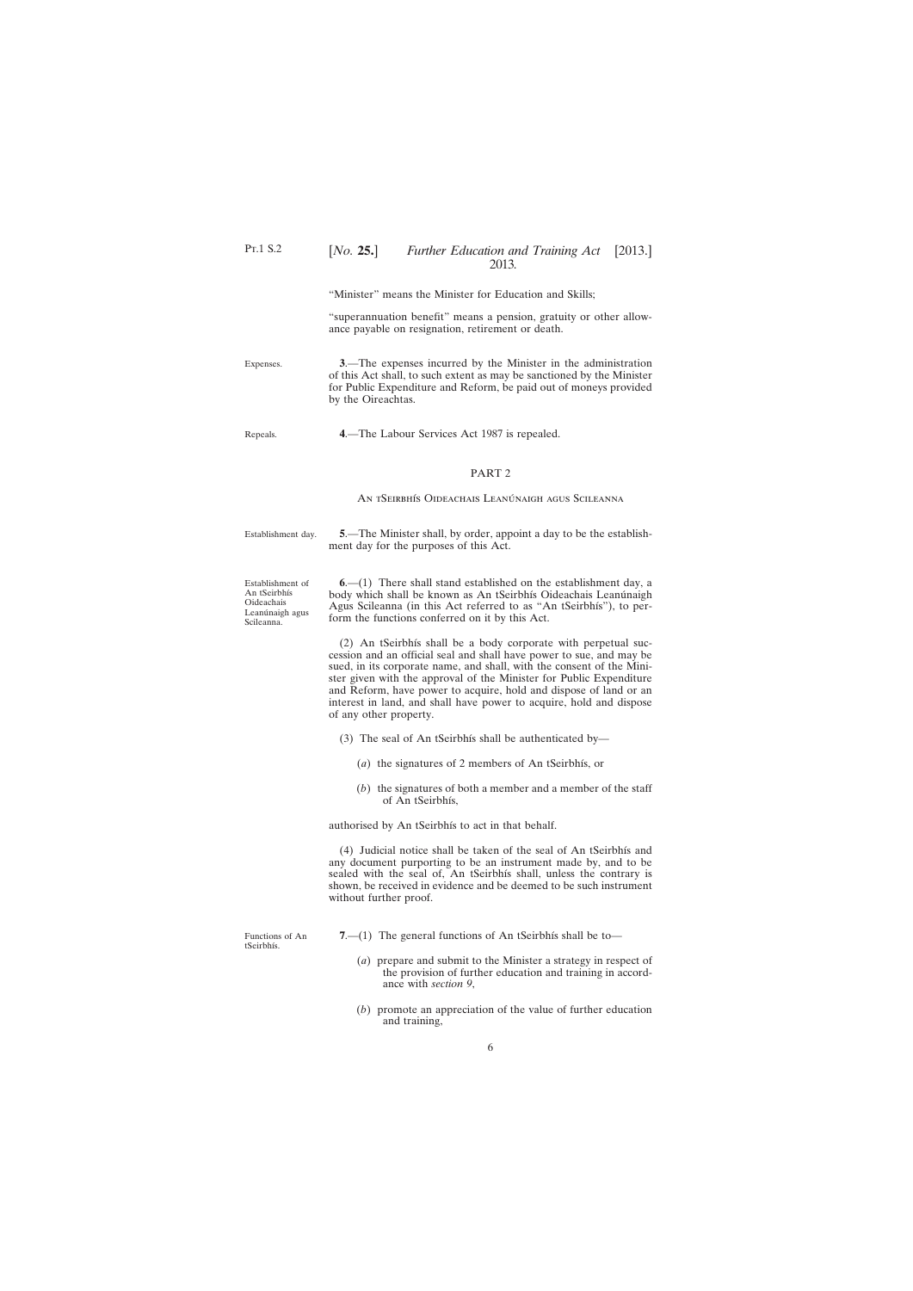"Minister" means the Minister for Education and Skills;

"superannuation benefit" means a pension, gratuity or other allowance payable on resignation, retirement or death.

**3**.—The expenses incurred by the Minister in the administration of this Act shall, to such extent as may be sanctioned by the Minister for Public Expenditure and Reform, be paid out of moneys provided by the Oireachtas.

**4**.—The Labour Services Act 1987 is repealed.

## PART 2

An tSeirbhís Oideachais Leanúnaigh agus Scileanna

Establishment day.

<span id="page-5-0"></span>Expenses.

Repeals.

**5**.—The Minister shall, by order, appoint a day to be the establishment day for the purposes of this Act.

Establishment of An tSeirbhís Oideachais Leanúnaigh agus Scileanna.

**6**.—(1) There shall stand established on the establishment day, a body which shall be known as An tSeirbhís Oideachais Leanúnaigh Agus Scileanna (in this Act referred to as "An tSeirbhís"), to perform the functions conferred on it by this Act.

(2) An tSeirbhís shall be a body corporate with perpetual succession and an official seal and shall have power to sue, and may be sued, in its corporate name, and shall, with the consent of the Minister given with the approval of the Minister for Public Expenditure and Reform, have power to acquire, hold and dispose of land or an interest in land, and shall have power to acquire, hold and dispose of any other property.

- (3) The seal of An tSeirbhís shall be authenticated by—
	- (*a*) the signatures of 2 members of An tSeirbhís, or
	- (*b*) the signatures of both a member and a member of the staff of An tSeirbhís,

authorised by An tSeirbhís to act in that behalf.

(4) Judicial notice shall be taken of the seal of An tSeirbhís and any document purporting to be an instrument made by, and to be sealed with the seal of, An tSeirbhís shall, unless the contrary is shown, be received in evidence and be deemed to be such instrument without further proof.

Functions of An tSeirbhís.

- **7.**—(1) The general functions of An tSeirbhís shall be to—
	- (*a*) prepare and submit to the Minister a strategy in respect of the provision of further education and training in accordance with *section 9*,
	- (*b*) promote an appreciation of the value of further education and training,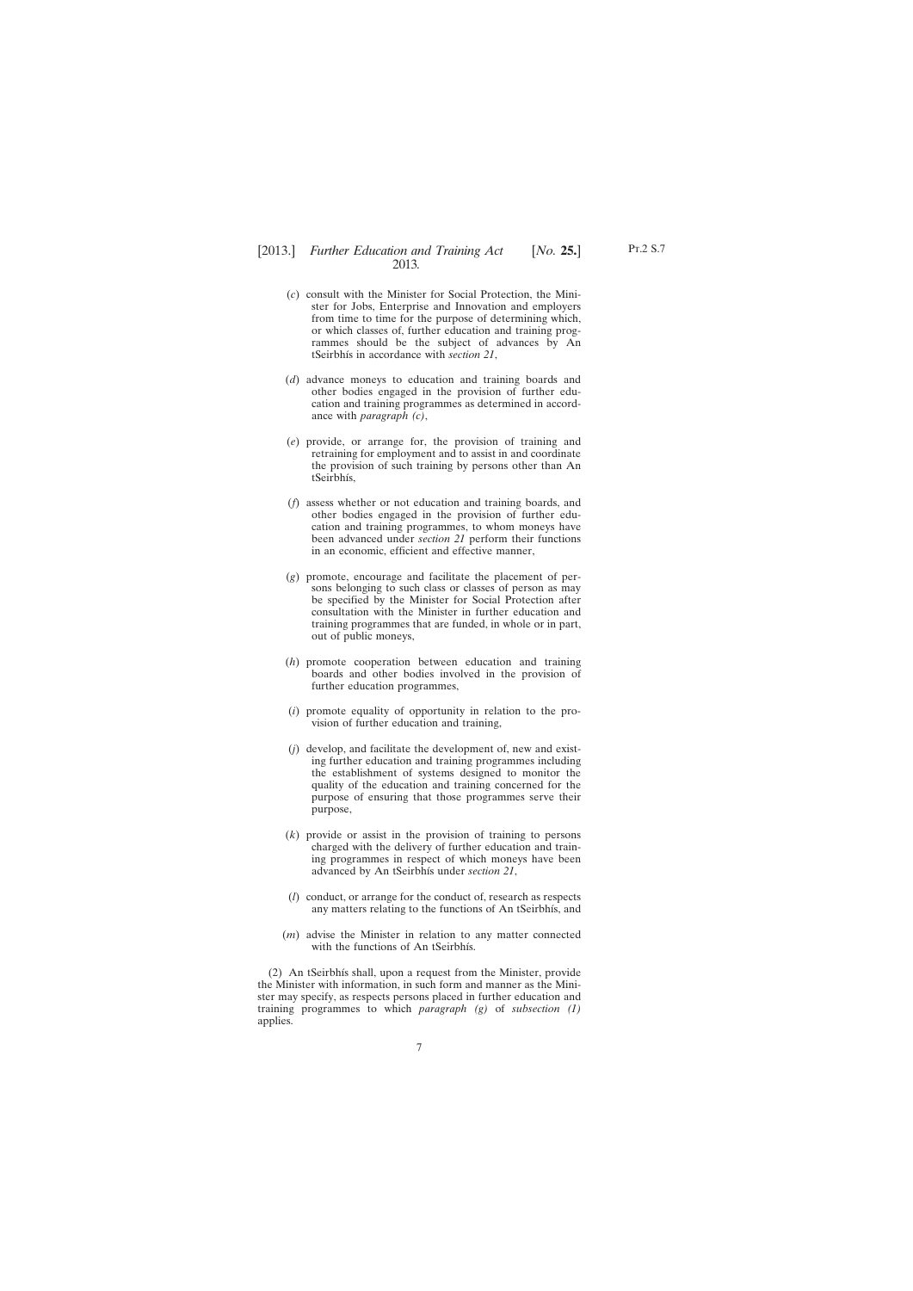- (*c*) consult with the Minister for Social Protection, the Minister for Jobs, Enterprise and Innovation and employers from time to time for the purpose of determining which, or which classes of, further education and training programmes should be the subject of advances by An tSeirbhís in accordance with *section 21*,
- (*d*) advance moneys to education and training boards and other bodies engaged in the provision of further education and training programmes as determined in accordance with *paragraph (c)*,
- (*e*) provide, or arrange for, the provision of training and retraining for employment and to assist in and coordinate the provision of such training by persons other than An tSeirbhís,
- (*f*) assess whether or not education and training boards, and other bodies engaged in the provision of further education and training programmes, to whom moneys have been advanced under *section 21* perform their functions in an economic, efficient and effective manner,
- (*g*) promote, encourage and facilitate the placement of persons belonging to such class or classes of person as may be specified by the Minister for Social Protection after consultation with the Minister in further education and training programmes that are funded, in whole or in part, out of public moneys,
- (*h*) promote cooperation between education and training boards and other bodies involved in the provision of further education programmes,
- (*i*) promote equality of opportunity in relation to the provision of further education and training,
- (*j*) develop, and facilitate the development of, new and existing further education and training programmes including the establishment of systems designed to monitor the quality of the education and training concerned for the purpose of ensuring that those programmes serve their purpose,
- (*k*) provide or assist in the provision of training to persons charged with the delivery of further education and training programmes in respect of which moneys have been advanced by An tSeirbhís under *section 21*,
- (*l*) conduct, or arrange for the conduct of, research as respects any matters relating to the functions of An tSeirbhís, and
- (*m*) advise the Minister in relation to any matter connected with the functions of An tSeirbhís.

(2) An tSeirbhís shall, upon a request from the Minister, provide the Minister with information, in such form and manner as the Minister may specify, as respects persons placed in further education and training programmes to which *paragraph (g)* of *subsection (1)* applies.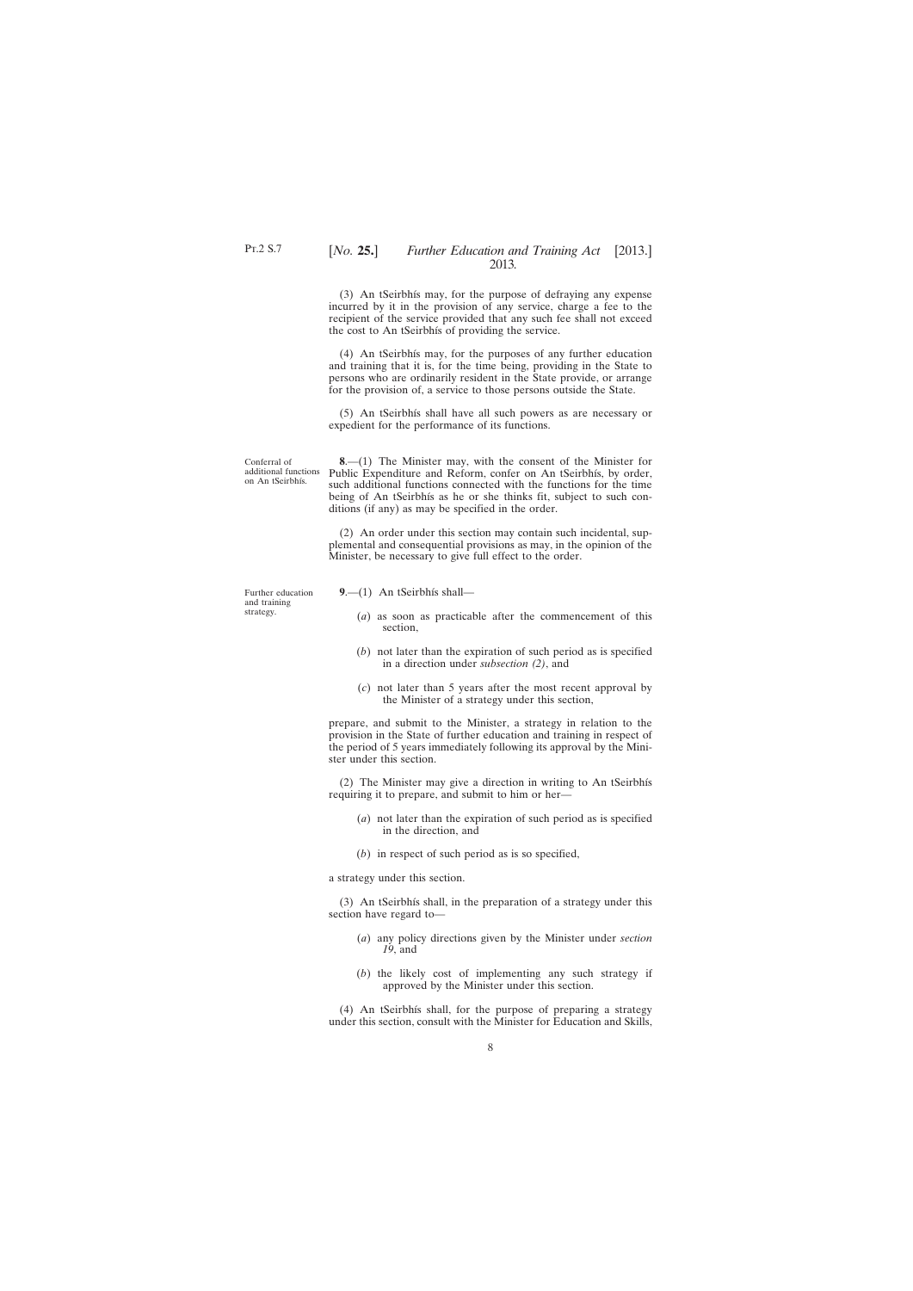(3) An tSeirbhís may, for the purpose of defraying any expense incurred by it in the provision of any service, charge a fee to the recipient of the service provided that any such fee shall not exceed the cost to An tSeirbhís of providing the service.

(4) An tSeirbhís may, for the purposes of any further education and training that it is, for the time being, providing in the State to persons who are ordinarily resident in the State provide, or arrange for the provision of, a service to those persons outside the State.

(5) An tSeirbhís shall have all such powers as are necessary or expedient for the performance of its functions.

Conferral of additional functions on An tSeirbhís.

**8**.—(1) The Minister may, with the consent of the Minister for Public Expenditure and Reform, confer on An tSeirbhís, by order, such additional functions connected with the functions for the time being of An tSeirbhís as he or she thinks fit, subject to such conditions (if any) as may be specified in the order.

(2) An order under this section may contain such incidental, supplemental and consequential provisions as may, in the opinion of the Minister, be necessary to give full effect to the order.

Further education and training strategy.

- **9**.—(1) An tSeirbhís shall—
	- (*a*) as soon as practicable after the commencement of this section,
	- (*b*) not later than the expiration of such period as is specified in a direction under *subsection (2)*, and
	- (*c*) not later than 5 years after the most recent approval by the Minister of a strategy under this section,

prepare, and submit to the Minister, a strategy in relation to the provision in the State of further education and training in respect of the period of 5 years immediately following its approval by the Minister under this section.

(2) The Minister may give a direction in writing to An tSeirbhís requiring it to prepare, and submit to him or her—

- (*a*) not later than the expiration of such period as is specified in the direction, and
- (*b*) in respect of such period as is so specified,

a strategy under this section.

(3) An tSeirbhís shall, in the preparation of a strategy under this section have regard to—

- (*a*) any policy directions given by the Minister under *section 19*, and
- (*b*) the likely cost of implementing any such strategy if approved by the Minister under this section.

(4) An tSeirbhís shall, for the purpose of preparing a strategy under this section, consult with the Minister for Education and Skills,

<span id="page-7-0"></span>Pt.2 S.7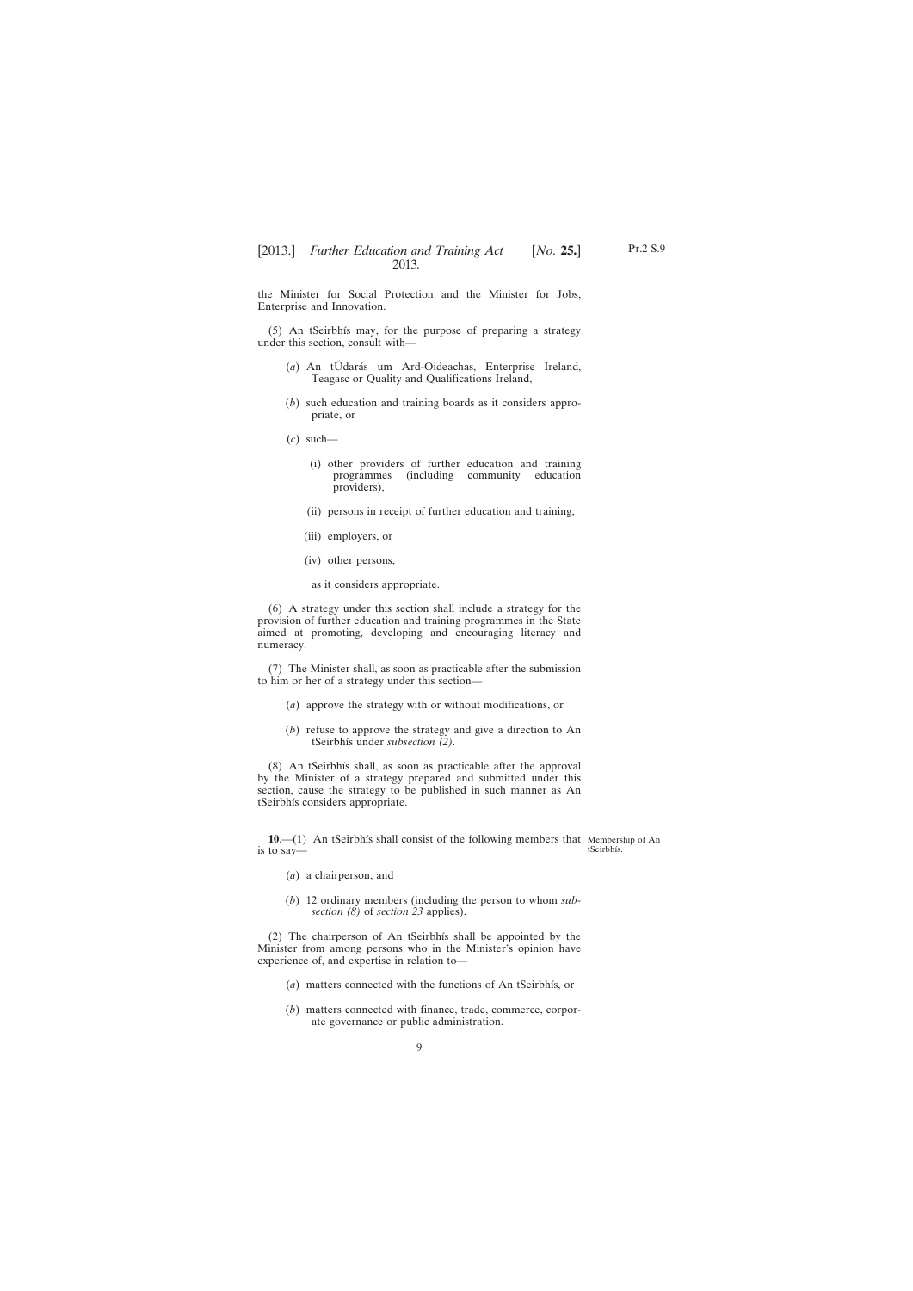Pt.2 S.9

<span id="page-8-0"></span>the Minister for Social Protection and the Minister for Jobs, Enterprise and Innovation.

(5) An tSeirbhís may, for the purpose of preparing a strategy under this section, consult with—

- (*a*) An tÚdarás um Ard-Oideachas, Enterprise Ireland, Teagasc or Quality and Qualifications Ireland,
- (*b*) such education and training boards as it considers appropriate, or
- (*c*) such—
	- (i) other providers of further education and training (including community providers),
	- (ii) persons in receipt of further education and training,
	- (iii) employers, or
	- (iv) other persons,
	- as it considers appropriate.

(6) A strategy under this section shall include a strategy for the provision of further education and training programmes in the State aimed at promoting, developing and encouraging literacy and numeracy.

(7) The Minister shall, as soon as practicable after the submission to him or her of a strategy under this section—

- (*a*) approve the strategy with or without modifications, or
- (*b*) refuse to approve the strategy and give a direction to An tSeirbhís under *subsection (2)*.

(8) An tSeirbhís shall, as soon as practicable after the approval by the Minister of a strategy prepared and submitted under this section, cause the strategy to be published in such manner as An tSeirbhís considers appropriate.

**10.**—(1) An tSeirbhís shall consist of the following members that Membership of An is to say—

tSeirbhís.

- (*a*) a chairperson, and
- (*b*) 12 ordinary members (including the person to whom *subsection (8)* of *section 23* applies).

(2) The chairperson of An tSeirbhís shall be appointed by the Minister from among persons who in the Minister's opinion have experience of, and expertise in relation to—

- (*a*) matters connected with the functions of An tSeirbhís, or
- (*b*) matters connected with finance, trade, commerce, corporate governance or public administration.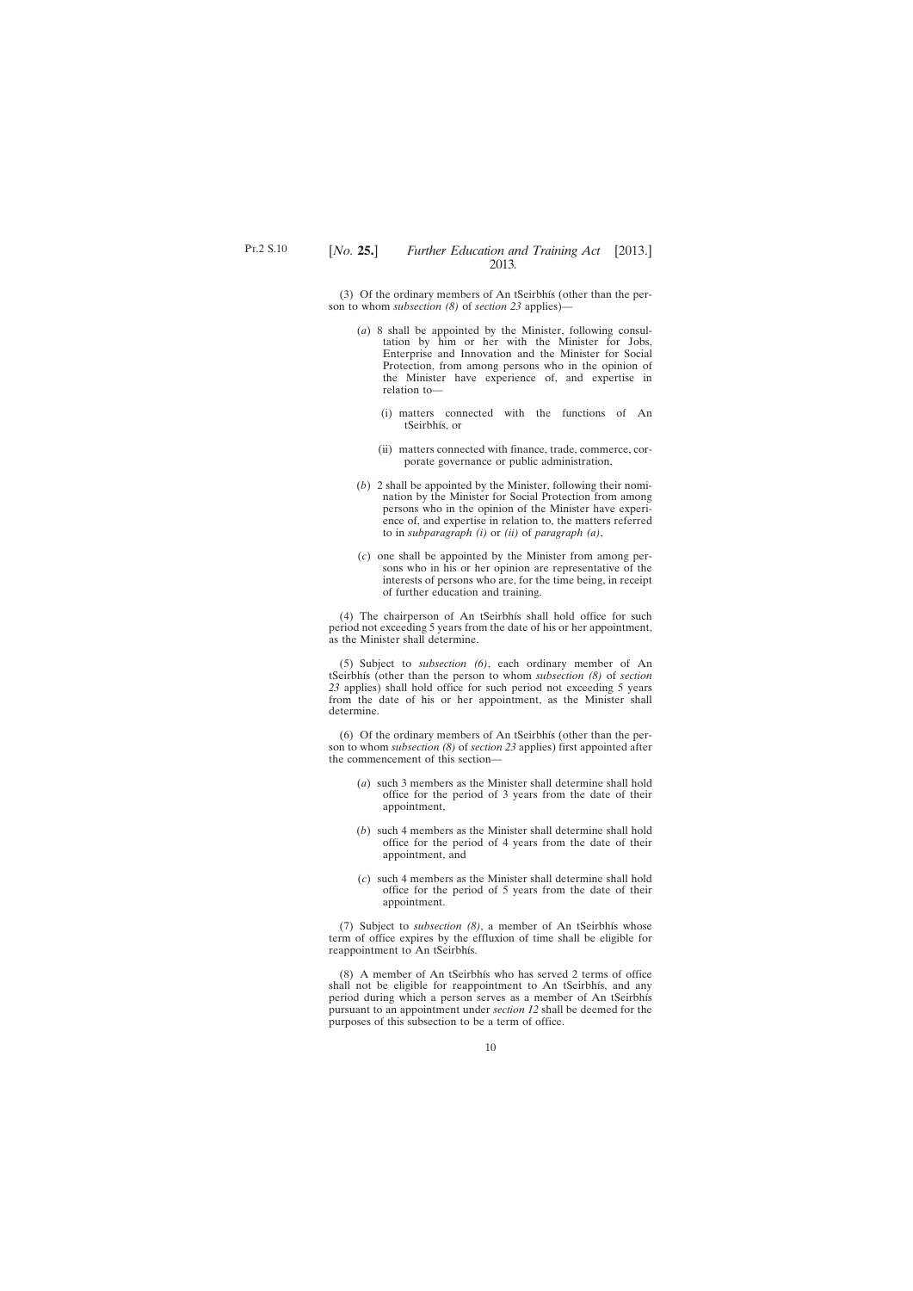(3) Of the ordinary members of An tSeirbhís (other than the person to whom *subsection (8)* of *section 23* applies)—

- (*a*) 8 shall be appointed by the Minister, following consultation by him or her with the Minister for Jobs, Enterprise and Innovation and the Minister for Social Protection, from among persons who in the opinion of the Minister have experience of, and expertise in relation to—
	- (i) matters connected with the functions of An tSeirbhís, or
	- (ii) matters connected with finance, trade, commerce, corporate governance or public administration,
- (*b*) 2 shall be appointed by the Minister, following their nomination by the Minister for Social Protection from among persons who in the opinion of the Minister have experience of, and expertise in relation to, the matters referred to in *subparagraph (i)* or *(ii)* of *paragraph (a)*,
- (*c*) one shall be appointed by the Minister from among persons who in his or her opinion are representative of the interests of persons who are, for the time being, in receipt of further education and training.

(4) The chairperson of An tSeirbhís shall hold office for such period not exceeding 5 years from the date of his or her appointment, as the Minister shall determine.

(5) Subject to *subsection (6)*, each ordinary member of An tSeirbhís (other than the person to whom *subsection (8)* of *section 23* applies) shall hold office for such period not exceeding 5 years from the date of his or her appointment, as the Minister shall determine.

(6) Of the ordinary members of An tSeirbhís (other than the person to whom *subsection (8)* of *section 23* applies) first appointed after the commencement of this section—

- (*a*) such 3 members as the Minister shall determine shall hold office for the period of 3 years from the date of their appointment,
- (*b*) such 4 members as the Minister shall determine shall hold office for the period of 4 years from the date of their appointment, and
- (*c*) such 4 members as the Minister shall determine shall hold office for the period of 5 years from the date of their appointment.

(7) Subject to *subsection (8)*, a member of An tSeirbhís whose term of office expires by the effluxion of time shall be eligible for reappointment to An tSeirbhís.

(8) A member of An tSeirbhís who has served 2 terms of office shall not be eligible for reappointment to An tSeirbhís, and any period during which a person serves as a member of An tSeirbhís pursuant to an appointment under *section 12* shall be deemed for the purposes of this subsection to be a term of office.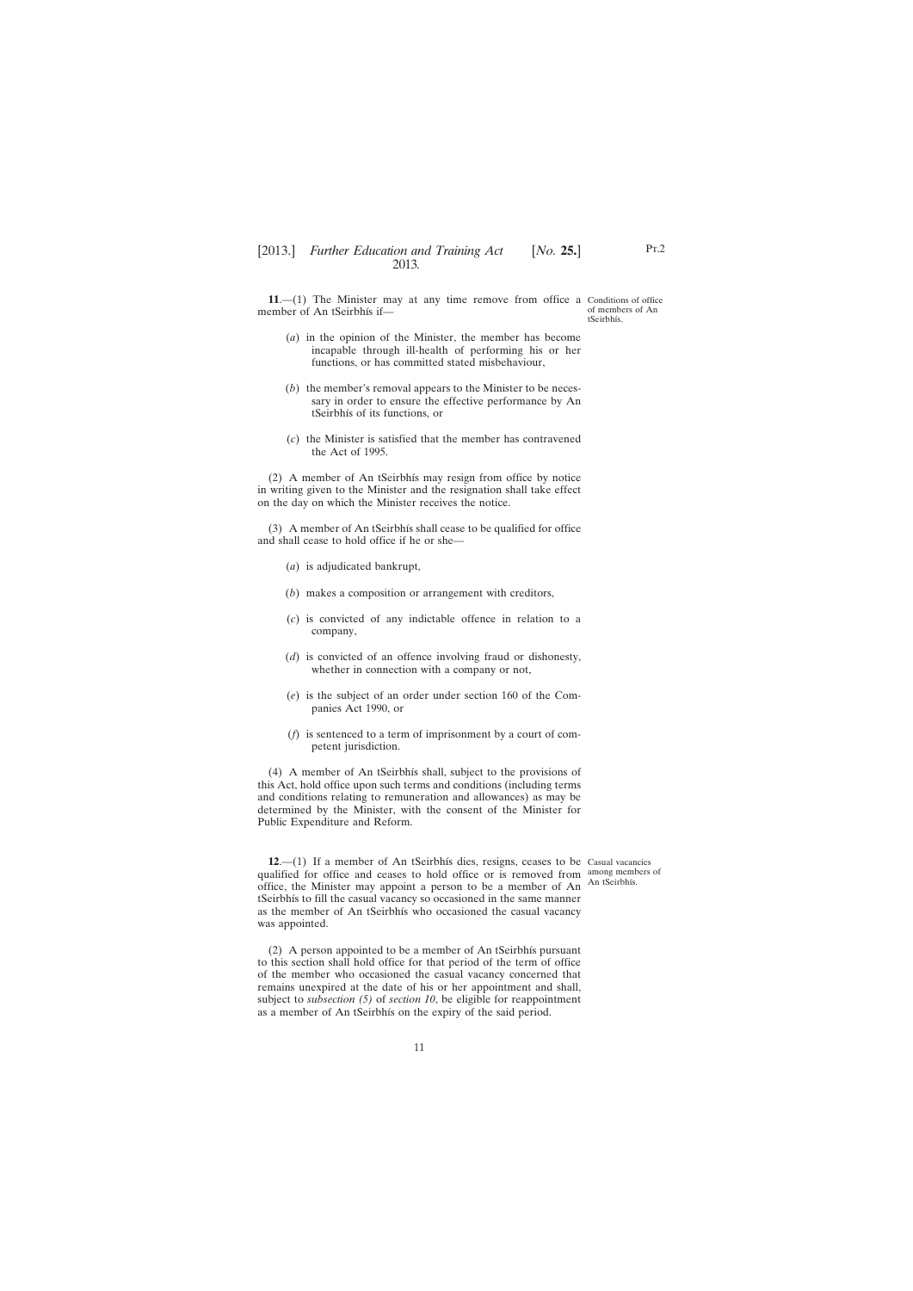<span id="page-10-0"></span>**11.**—(1) The Minister may at any time remove from office a Conditions of office member of An tSeirbhís if of members of An tSeirbhís.

- (*a*) in the opinion of the Minister, the member has become incapable through ill-health of performing his or her functions, or has committed stated misbehaviour,
- (*b*) the member's removal appears to the Minister to be necessary in order to ensure the effective performance by An tSeirbhís of its functions, or
- (*c*) the Minister is satisfied that the member has contravened the Act of 1995.

(2) A member of An tSeirbhís may resign from office by notice in writing given to the Minister and the resignation shall take effect on the day on which the Minister receives the notice.

(3) A member of An tSeirbhís shall cease to be qualified for office and shall cease to hold office if he or she—

- (*a*) is adjudicated bankrupt,
- (*b*) makes a composition or arrangement with creditors,
- (*c*) is convicted of any indictable offence in relation to a company,
- (*d*) is convicted of an offence involving fraud or dishonesty, whether in connection with a company or not,
- (*e*) is the subject of an order under section 160 of the Companies Act 1990, or
- (*f*) is sentenced to a term of imprisonment by a court of competent jurisdiction.

(4) A member of An tSeirbhís shall, subject to the provisions of this Act, hold office upon such terms and conditions (including terms and conditions relating to remuneration and allowances) as may be determined by the Minister, with the consent of the Minister for Public Expenditure and Reform.

**12**.—(1) If a member of An tSeirbhís dies, resigns, ceases to be Casual vacancies qualified for office and ceases to hold office or is removed from among members of office, the Minister may appoint a person to be a member of An An tSeirbhís. tSeirbhís to fill the casual vacancy so occasioned in the same manner as the member of An tSeirbhís who occasioned the casual vacancy was appointed.

(2) A person appointed to be a member of An tSeirbhís pursuant to this section shall hold office for that period of the term of office of the member who occasioned the casual vacancy concerned that remains unexpired at the date of his or her appointment and shall, subject to *subsection (5)* of *section 10*, be eligible for reappointment as a member of An tSeirbhís on the expiry of the said period.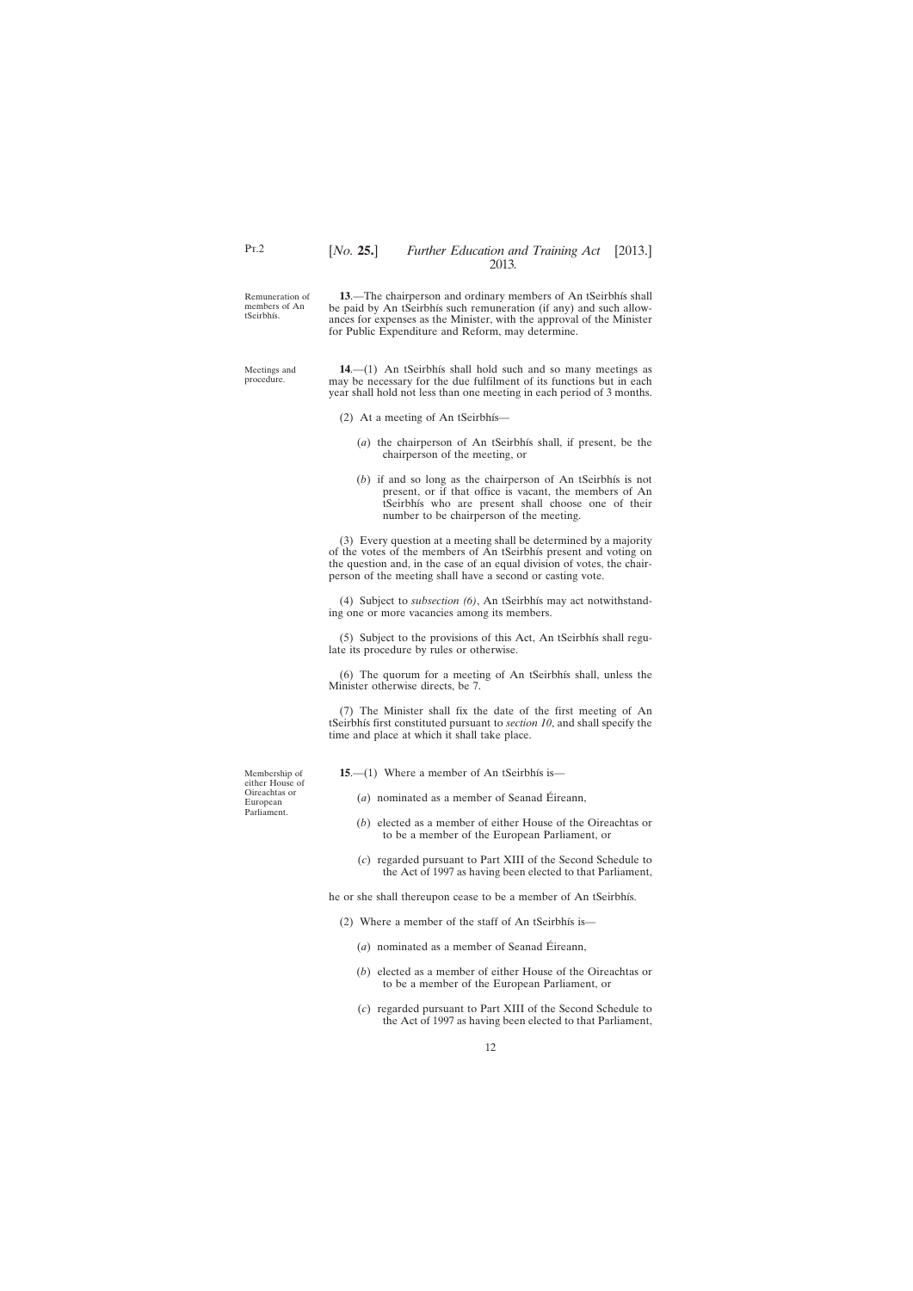<span id="page-11-0"></span>Remuneration of members of An tSeirbhís. **13**.—The chairperson and ordinary members of An tSeirbhís shall be paid by An tSeirbhís such remuneration (if any) and such allowances for expenses as the Minister, with the approval of the Minister for Public Expenditure and Reform, may determine.

Meetings and procedure.

**14**.—(1) An tSeirbhís shall hold such and so many meetings as may be necessary for the due fulfilment of its functions but in each year shall hold not less than one meeting in each period of 3 months.

- (2) At a meeting of An tSeirbhís—
	- (*a*) the chairperson of An tSeirbhís shall, if present, be the chairperson of the meeting, or
	- (*b*) if and so long as the chairperson of An tSeirbhís is not present, or if that office is vacant, the members of An tSeirbhís who are present shall choose one of their number to be chairperson of the meeting.

(3) Every question at a meeting shall be determined by a majority of the votes of the members of An tSeirbhís present and voting on the question and, in the case of an equal division of votes, the chairperson of the meeting shall have a second or casting vote.

(4) Subject to *subsection (6)*, An tSeirbhís may act notwithstanding one or more vacancies among its members.

(5) Subject to the provisions of this Act, An tSeirbhís shall regulate its procedure by rules or otherwise.

(6) The quorum for a meeting of An tSeirbhís shall, unless the Minister otherwise directs, be 7.

(7) The Minister shall fix the date of the first meeting of An tSeirbhís first constituted pursuant to *section 10*, and shall specify the time and place at which it shall take place.

Membership of either House of Oireachtas or European Parliament.

**15**.—(1) Where a member of An tSeirbhís is—

- (*a*) nominated as a member of Seanad Éireann,
- (*b*) elected as a member of either House of the Oireachtas or to be a member of the European Parliament, or
- (*c*) regarded pursuant to Part XIII of the Second Schedule to the Act of 1997 as having been elected to that Parliament,

he or she shall thereupon cease to be a member of An tSeirbhís.

- (2) Where a member of the staff of An tSeirbhís is—
	- (*a*) nominated as a member of Seanad Éireann,
	- (*b*) elected as a member of either House of the Oireachtas or to be a member of the European Parliament, or
	- (*c*) regarded pursuant to Part XIII of the Second Schedule to the Act of 1997 as having been elected to that Parliament,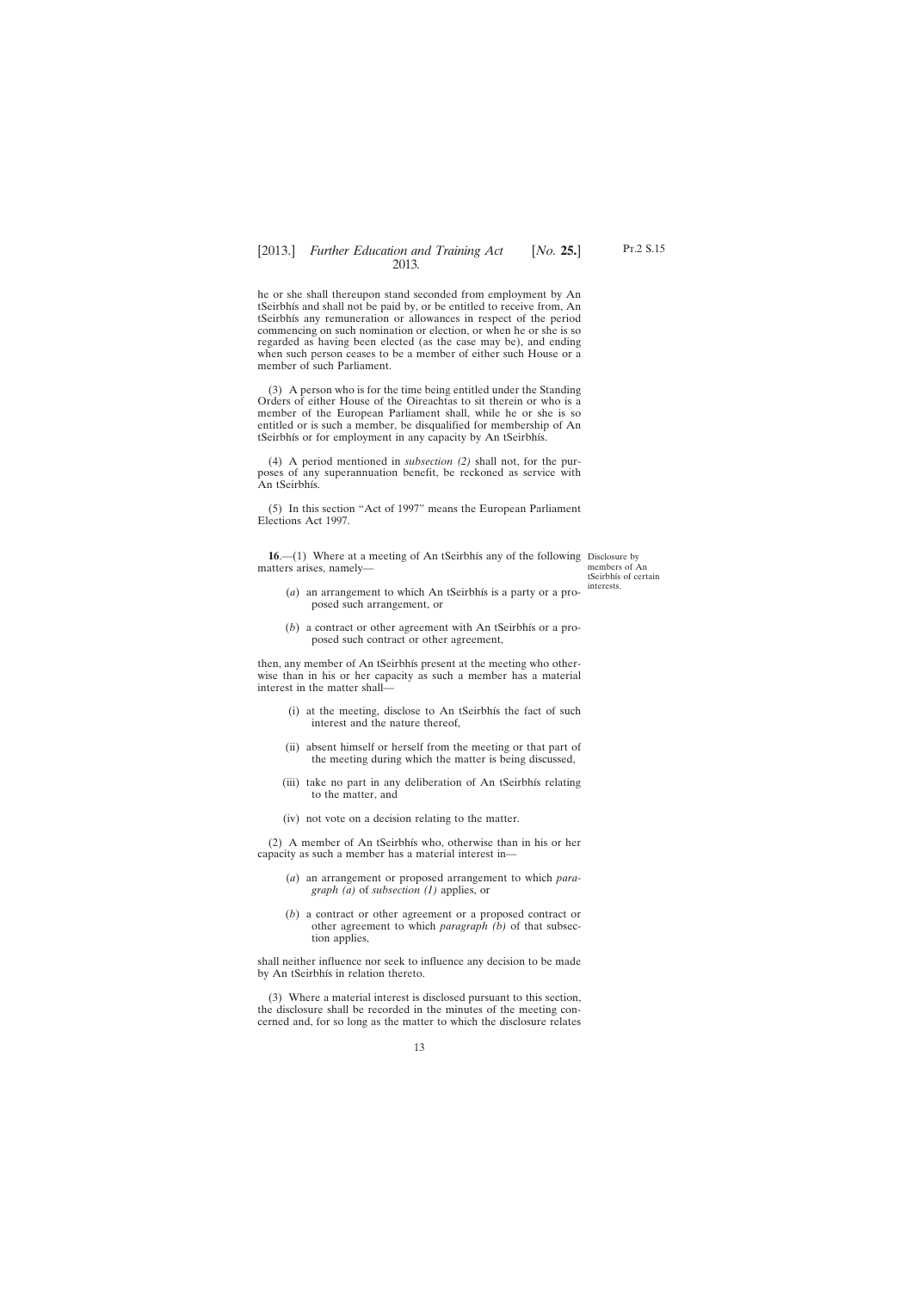<span id="page-12-0"></span>he or she shall thereupon stand seconded from employment by An tSeirbhís and shall not be paid by, or be entitled to receive from, An tSeirbhís any remuneration or allowances in respect of the period commencing on such nomination or election, or when he or she is so regarded as having been elected (as the case may be), and ending when such person ceases to be a member of either such House or a member of such Parliament.

(3) A person who is for the time being entitled under the Standing Orders of either House of the Oireachtas to sit therein or who is a member of the European Parliament shall, while he or she is so entitled or is such a member, be disqualified for membership of An tSeirbhís or for employment in any capacity by An tSeirbhís.

(4) A period mentioned in *subsection (2)* shall not, for the purposes of any superannuation benefit, be reckoned as service with An tSeirbhís.

(5) In this section "Act of 1997" means the European Parliament Elections Act 1997.

**16.**—(1) Where at a meeting of An tSeirbhís any of the following Disclosure by matters arises, namely—

members of An tSeirbhís of certain interests.

- (*a*) an arrangement to which An tSeirbhís is a party or a proposed such arrangement, or
- (*b*) a contract or other agreement with An tSeirbhís or a proposed such contract or other agreement,

then, any member of An tSeirbhís present at the meeting who otherwise than in his or her capacity as such a member has a material interest in the matter shall—

- (i) at the meeting, disclose to An tSeirbhís the fact of such interest and the nature thereof,
- (ii) absent himself or herself from the meeting or that part of the meeting during which the matter is being discussed,
- (iii) take no part in any deliberation of An tSeirbhís relating to the matter, and
- (iv) not vote on a decision relating to the matter.

(2) A member of An tSeirbhís who, otherwise than in his or her capacity as such a member has a material interest in—

- (*a*) an arrangement or proposed arrangement to which *paragraph (a)* of *subsection (1)* applies, or
- (*b*) a contract or other agreement or a proposed contract or other agreement to which *paragraph (b)* of that subsection applies,

shall neither influence nor seek to influence any decision to be made by An tSeirbhís in relation thereto.

(3) Where a material interest is disclosed pursuant to this section, the disclosure shall be recorded in the minutes of the meeting concerned and, for so long as the matter to which the disclosure relates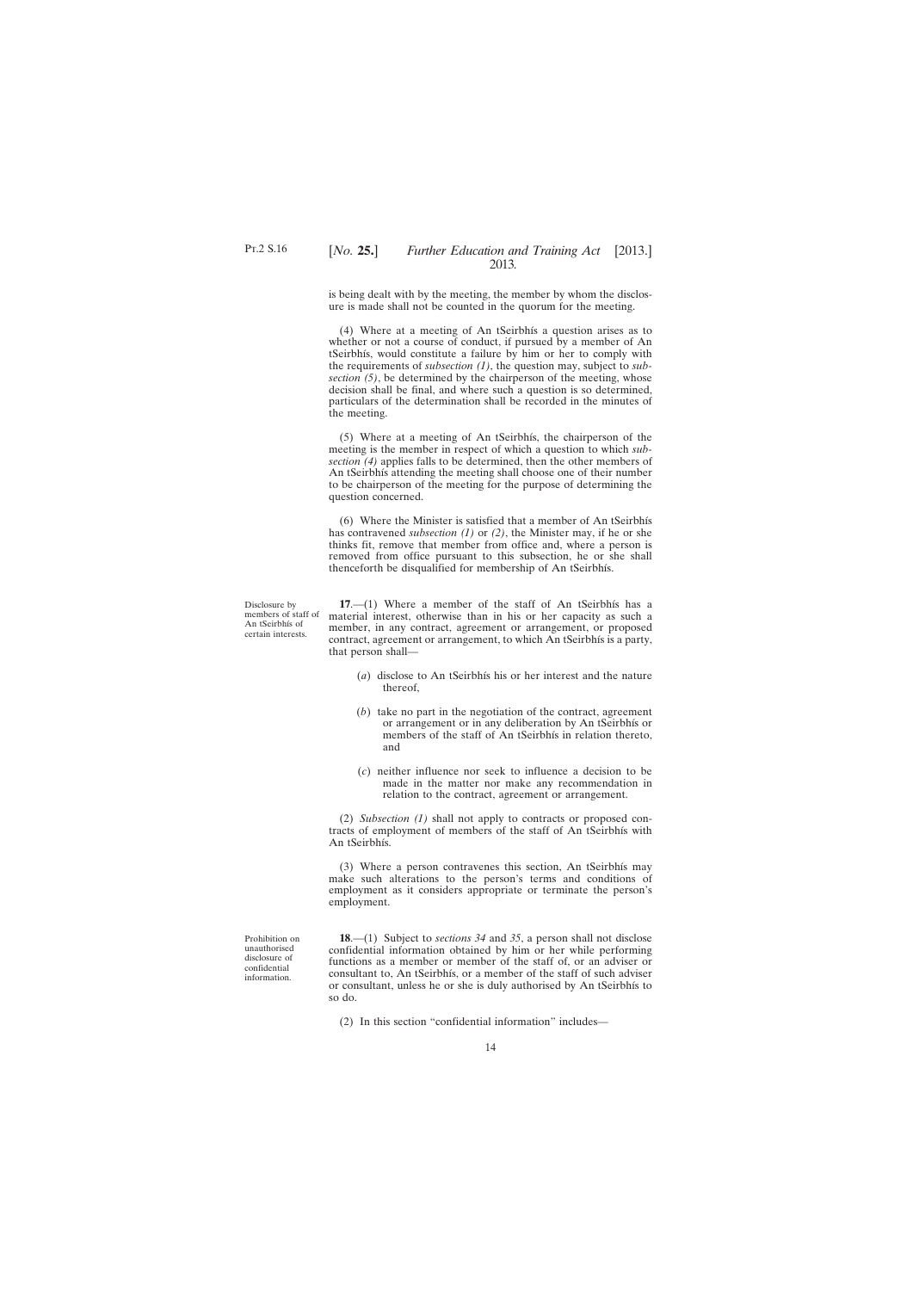<span id="page-13-0"></span>is being dealt with by the meeting, the member by whom the disclosure is made shall not be counted in the quorum for the meeting.

(4) Where at a meeting of An tSeirbhís a question arises as to whether or not a course of conduct, if pursued by a member of An tSeirbhís, would constitute a failure by him or her to comply with the requirements of *subsection (1)*, the question may, subject to *subsection (5)*, be determined by the chairperson of the meeting, whose decision shall be final, and where such a question is so determined, particulars of the determination shall be recorded in the minutes of the meeting.

(5) Where at a meeting of An tSeirbhís, the chairperson of the meeting is the member in respect of which a question to which *subsection (4)* applies falls to be determined, then the other members of An tSeirbhís attending the meeting shall choose one of their number to be chairperson of the meeting for the purpose of determining the question concerned.

(6) Where the Minister is satisfied that a member of An tSeirbhís has contravened *subsection (1)* or *(2)*, the Minister may, if he or she thinks fit, remove that member from office and, where a person is removed from office pursuant to this subsection, he or she shall thenceforth be disqualified for membership of An tSeirbhís.

Disclosure by members of staff of An tSeirbhís of certain interests.

**17**.—(1) Where a member of the staff of An tSeirbhís has a material interest, otherwise than in his or her capacity as such a member, in any contract, agreement or arrangement, or proposed contract, agreement or arrangement, to which An tSeirbhís is a party, that person shall—

- (*a*) disclose to An tSeirbhís his or her interest and the nature thereof,
- (*b*) take no part in the negotiation of the contract, agreement or arrangement or in any deliberation by An tSeirbhís or members of the staff of An tSeirbhís in relation thereto, and
- (*c*) neither influence nor seek to influence a decision to be made in the matter nor make any recommendation in relation to the contract, agreement or arrangement.

(2) *Subsection (1)* shall not apply to contracts or proposed contracts of employment of members of the staff of An tSeirbhís with An tSeirbhís.

(3) Where a person contravenes this section, An tSeirbhís may make such alterations to the person's terms and conditions of employment as it considers appropriate or terminate the person's employment.

Prohibition on unauthorised disclosure of confidential information.

**18**.—(1) Subject to *sections 34* and *35*, a person shall not disclose confidential information obtained by him or her while performing functions as a member or member of the staff of, or an adviser or consultant to, An tSeirbhís, or a member of the staff of such adviser or consultant, unless he or she is duly authorised by An tSeirbhís to so do.

(2) In this section "confidential information" includes—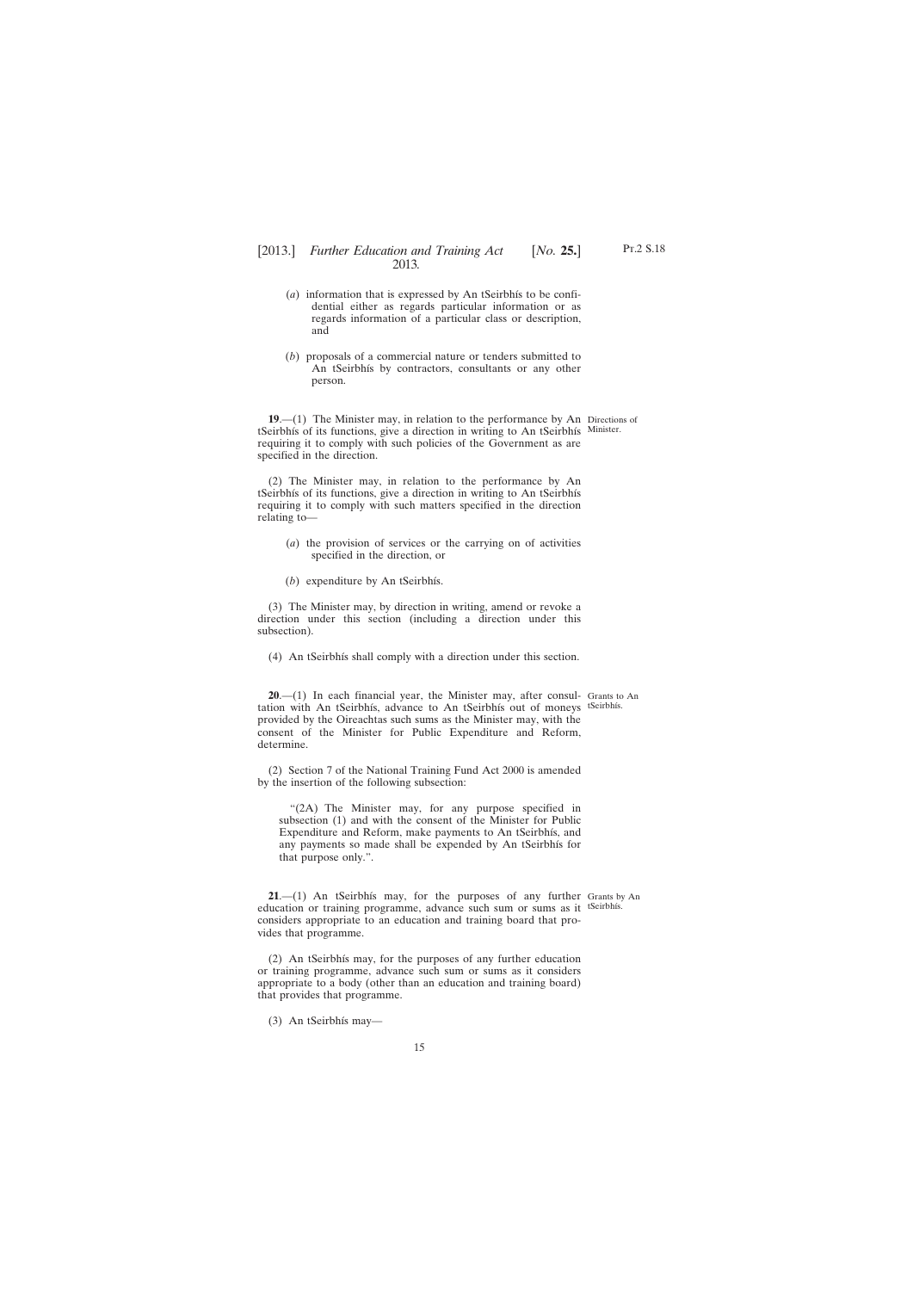- <span id="page-14-0"></span>(*a*) information that is expressed by An tSeirbhís to be confidential either as regards particular information or as regards information of a particular class or description, and
- (*b*) proposals of a commercial nature or tenders submitted to An tSeirbhís by contractors, consultants or any other person.

**19**.—(1) The Minister may, in relation to the performance by An Directions of tSeirbhís of its functions, give a direction in writing to An tSeirbhís Minister. requiring it to comply with such policies of the Government as are specified in the direction.

(2) The Minister may, in relation to the performance by An tSeirbhís of its functions, give a direction in writing to An tSeirbhís requiring it to comply with such matters specified in the direction relating to—

- (*a*) the provision of services or the carrying on of activities specified in the direction, or
- (*b*) expenditure by An tSeirbhís.

(3) The Minister may, by direction in writing, amend or revoke a direction under this section (including a direction under this subsection).

(4) An tSeirbhís shall comply with a direction under this section.

**20**.—(1) In each financial year, the Minister may, after consul-Grants to An tation with An tSeirbhís, advance to An tSeirbhís out of moneys tSeirbhís. provided by the Oireachtas such sums as the Minister may, with the consent of the Minister for Public Expenditure and Reform, determine.

(2) Section 7 of the National Training Fund Act 2000 is amended by the insertion of the following subsection:

"(2A) The Minister may, for any purpose specified in subsection (1) and with the consent of the Minister for Public Expenditure and Reform, make payments to An tSeirbhís, and any payments so made shall be expended by An tSeirbhís for that purpose only.".

**21**.—(1) An tSeirbhís may, for the purposes of any further Grants by An education or training programme, advance such sum or sums as it <sup>tSeirbhís.</sup> considers appropriate to an education and training board that provides that programme.

(2) An tSeirbhís may, for the purposes of any further education or training programme, advance such sum or sums as it considers appropriate to a body (other than an education and training board) that provides that programme.

(3) An tSeirbhís may—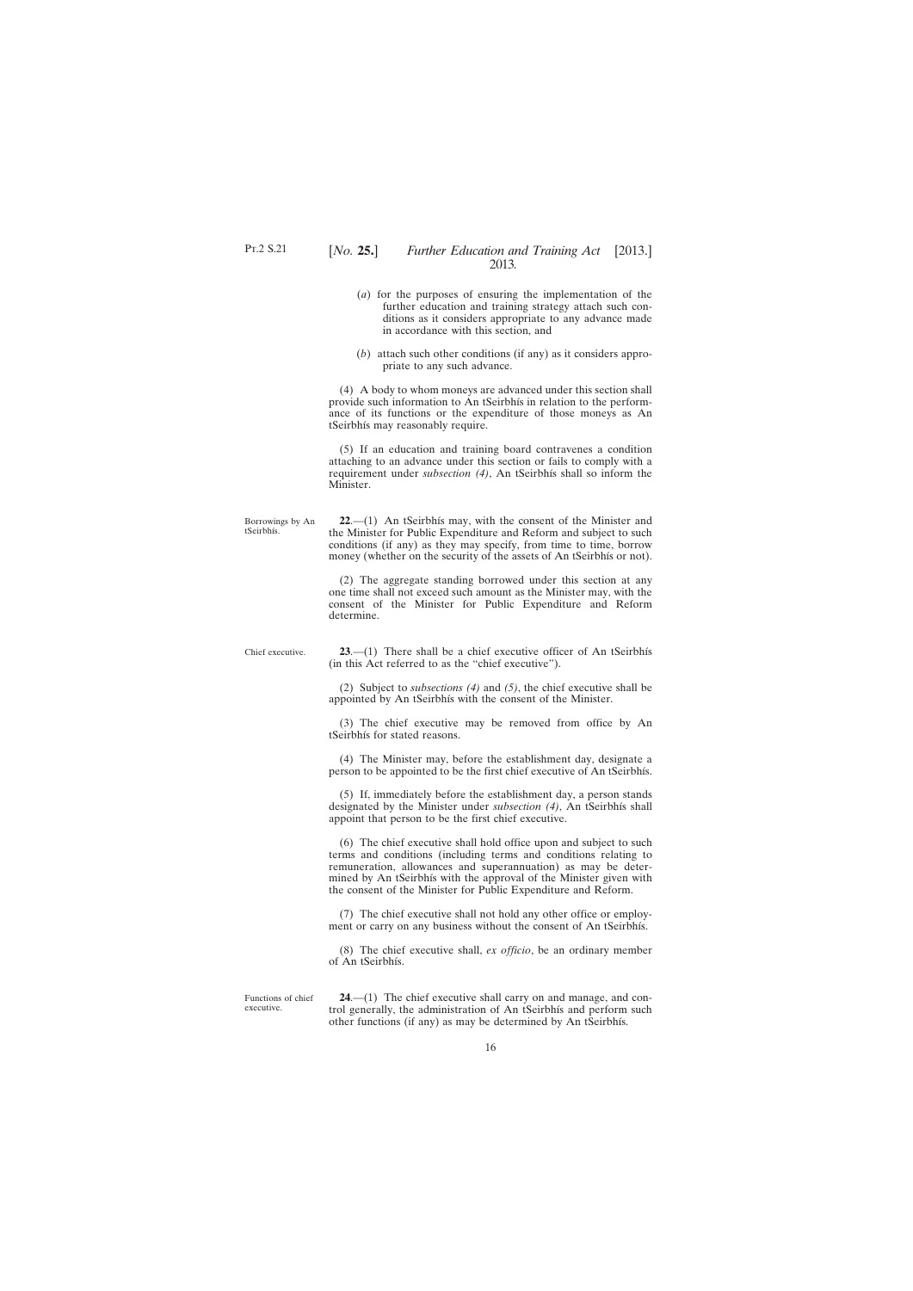- <span id="page-15-0"></span>(*a*) for the purposes of ensuring the implementation of the further education and training strategy attach such conditions as it considers appropriate to any advance made in accordance with this section, and
- (*b*) attach such other conditions (if any) as it considers appropriate to any such advance.

(4) A body to whom moneys are advanced under this section shall provide such information to An tSeirbhís in relation to the performance of its functions or the expenditure of those moneys as An tSeirbhís may reasonably require.

(5) If an education and training board contravenes a condition attaching to an advance under this section or fails to comply with a requirement under *subsection (4)*, An tSeirbhís shall so inform the Minister.

Borrowings by An tSeirbhís.

**22**.—(1) An tSeirbhís may, with the consent of the Minister and the Minister for Public Expenditure and Reform and subject to such conditions (if any) as they may specify, from time to time, borrow money (whether on the security of the assets of An tSeirbhís or not).

(2) The aggregate standing borrowed under this section at any one time shall not exceed such amount as the Minister may, with the consent of the Minister for Public Expenditure and Reform determine.

Chief executive.

**23**.—(1) There shall be a chief executive officer of An tSeirbhís (in this Act referred to as the "chief executive").

(2) Subject to *subsections (4)* and *(5)*, the chief executive shall be appointed by An tSeirbhís with the consent of the Minister.

(3) The chief executive may be removed from office by An tSeirbhís for stated reasons.

(4) The Minister may, before the establishment day, designate a person to be appointed to be the first chief executive of An tSeirbhís.

(5) If, immediately before the establishment day, a person stands designated by the Minister under *subsection (4)*, An tSeirbhís shall appoint that person to be the first chief executive.

(6) The chief executive shall hold office upon and subject to such terms and conditions (including terms and conditions relating to remuneration, allowances and superannuation) as may be determined by An tSeirbhís with the approval of the Minister given with the consent of the Minister for Public Expenditure and Reform.

(7) The chief executive shall not hold any other office or employment or carry on any business without the consent of An tSeirbhís.

(8) The chief executive shall, *ex officio*, be an ordinary member of An tSeirbhís.

Functions of chief executive.

**24**.—(1) The chief executive shall carry on and manage, and control generally, the administration of An tSeirbhís and perform such other functions (if any) as may be determined by An tSeirbhís.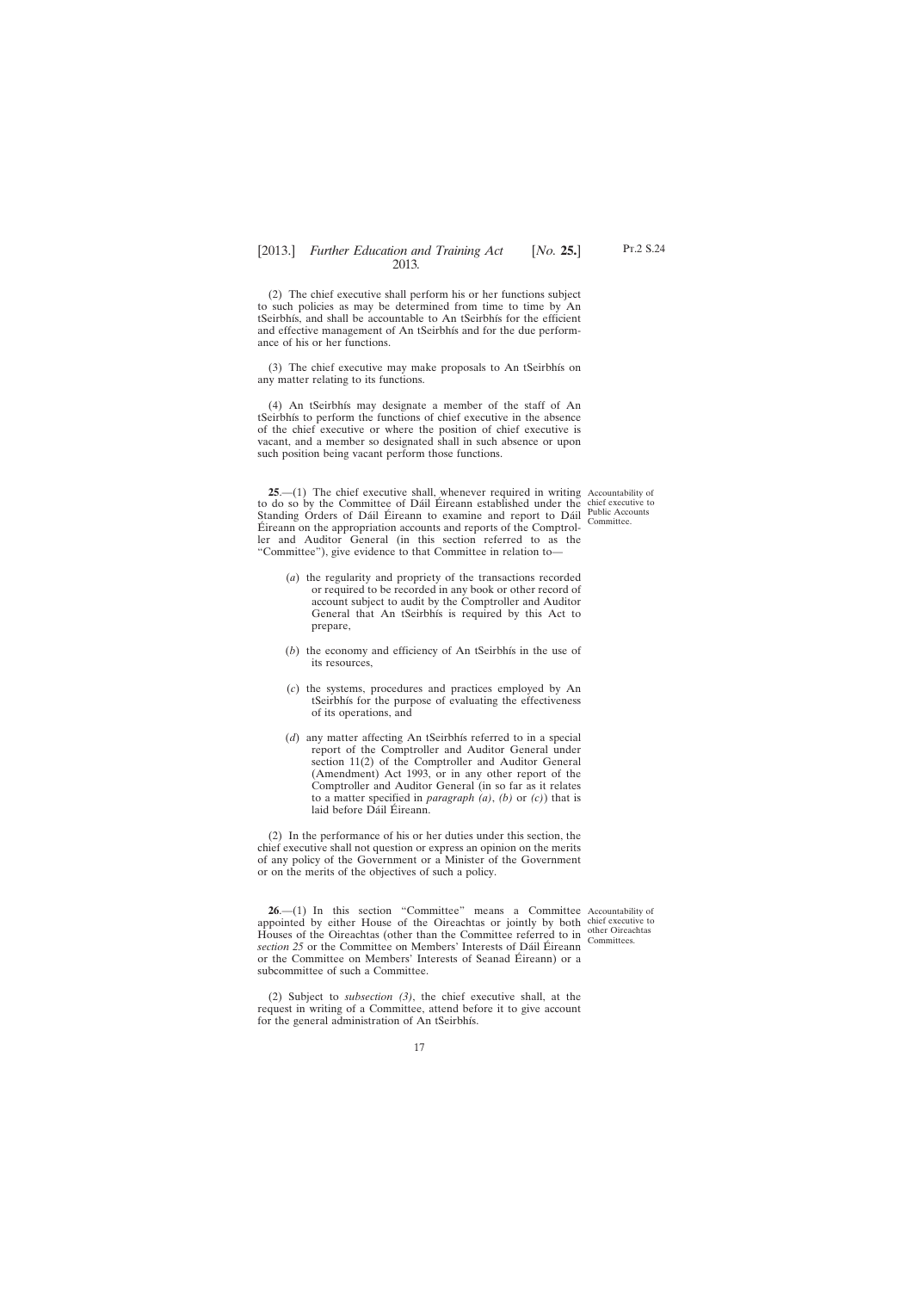Pt.2 S.24

<span id="page-16-0"></span>(2) The chief executive shall perform his or her functions subject to such policies as may be determined from time to time by An tSeirbhís, and shall be accountable to An tSeirbhís for the efficient and effective management of An tSeirbhís and for the due performance of his or her functions.

(3) The chief executive may make proposals to An tSeirbhís on any matter relating to its functions.

(4) An tSeirbhís may designate a member of the staff of An tSeirbhís to perform the functions of chief executive in the absence of the chief executive or where the position of chief executive is vacant, and a member so designated shall in such absence or upon such position being vacant perform those functions.

**25.**—(1) The chief executive shall, whenever required in writing Accountability of to do so by the Committee of Dáil Éireann established under the chief executive to Standing Orders of Dáil Éireann to examine and report to Dáil Public Accounts Éireann on the appropriation accounts and reports of the Comptroller and Auditor General (in this section referred to as the "Committee"), give evidence to that Committee in relation to— Committee.

- (*a*) the regularity and propriety of the transactions recorded or required to be recorded in any book or other record of account subject to audit by the Comptroller and Auditor General that An tSeirbhís is required by this Act to prepare,
- (*b*) the economy and efficiency of An tSeirbhís in the use of its resources,
- (*c*) the systems, procedures and practices employed by An tSeirbhís for the purpose of evaluating the effectiveness of its operations, and
- (*d*) any matter affecting An tSeirbhís referred to in a special report of the Comptroller and Auditor General under section 11(2) of the Comptroller and Auditor General (Amendment) Act 1993, or in any other report of the Comptroller and Auditor General (in so far as it relates to a matter specified in *paragraph (a)*, *(b)* or *(c)*) that is laid before Dáil Éireann.

(2) In the performance of his or her duties under this section, the chief executive shall not question or express an opinion on the merits of any policy of the Government or a Minister of the Government or on the merits of the objectives of such a policy.

**26.**—(1) In this section "Committee" means a Committee Accountability of appointed by either House of the Oireachtas or jointly by both chief executive to Houses of the Oireachtas (other than the Committee referred to in  $\frac{\text{other Oricachtas}}{\text{Commites}}$ *section 25* or the Committee on Members' Interests of Dáil Éireann or the Committee on Members' Interests of Seanad Éireann) or a subcommittee of such a Committee. Committees.

(2) Subject to *subsection (3)*, the chief executive shall, at the request in writing of a Committee, attend before it to give account for the general administration of An tSeirbhís.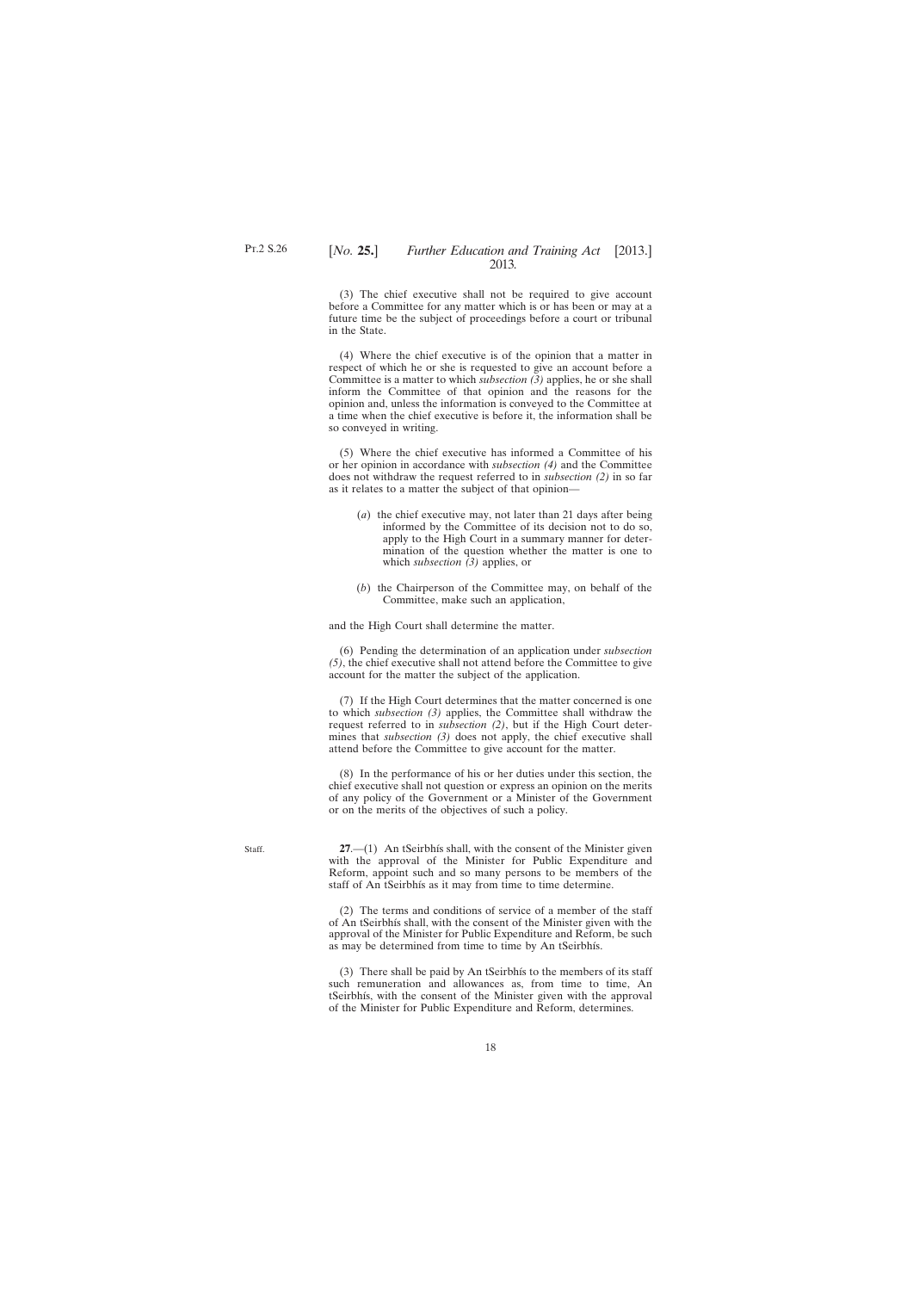<span id="page-17-0"></span>(3) The chief executive shall not be required to give account before a Committee for any matter which is or has been or may at a future time be the subject of proceedings before a court or tribunal in the State.

(4) Where the chief executive is of the opinion that a matter in respect of which he or she is requested to give an account before a Committee is a matter to which *subsection (3)* applies, he or she shall inform the Committee of that opinion and the reasons for the opinion and, unless the information is conveyed to the Committee at a time when the chief executive is before it, the information shall be so conveyed in writing.

(5) Where the chief executive has informed a Committee of his or her opinion in accordance with *subsection (4)* and the Committee does not withdraw the request referred to in *subsection (2)* in so far as it relates to a matter the subject of that opinion—

- (*a*) the chief executive may, not later than 21 days after being informed by the Committee of its decision not to do so, apply to the High Court in a summary manner for determination of the question whether the matter is one to which *subsection (3)* applies, or
- (*b*) the Chairperson of the Committee may, on behalf of the Committee, make such an application,

and the High Court shall determine the matter.

(6) Pending the determination of an application under *subsection (5)*, the chief executive shall not attend before the Committee to give account for the matter the subject of the application.

(7) If the High Court determines that the matter concerned is one to which *subsection (3)* applies, the Committee shall withdraw the request referred to in *subsection (2)*, but if the High Court determines that *subsection (3)* does not apply, the chief executive shall attend before the Committee to give account for the matter.

(8) In the performance of his or her duties under this section, the chief executive shall not question or express an opinion on the merits of any policy of the Government or a Minister of the Government or on the merits of the objectives of such a policy.

**27**.—(1) An tSeirbhís shall, with the consent of the Minister given with the approval of the Minister for Public Expenditure and Reform, appoint such and so many persons to be members of the staff of An tSeirbhís as it may from time to time determine.

(2) The terms and conditions of service of a member of the staff of An tSeirbhís shall, with the consent of the Minister given with the approval of the Minister for Public Expenditure and Reform, be such as may be determined from time to time by An tSeirbhís.

(3) There shall be paid by An tSeirbhís to the members of its staff such remuneration and allowances as, from time to time, An tSeirbhís, with the consent of the Minister given with the approval of the Minister for Public Expenditure and Reform, determines.

Staff.

18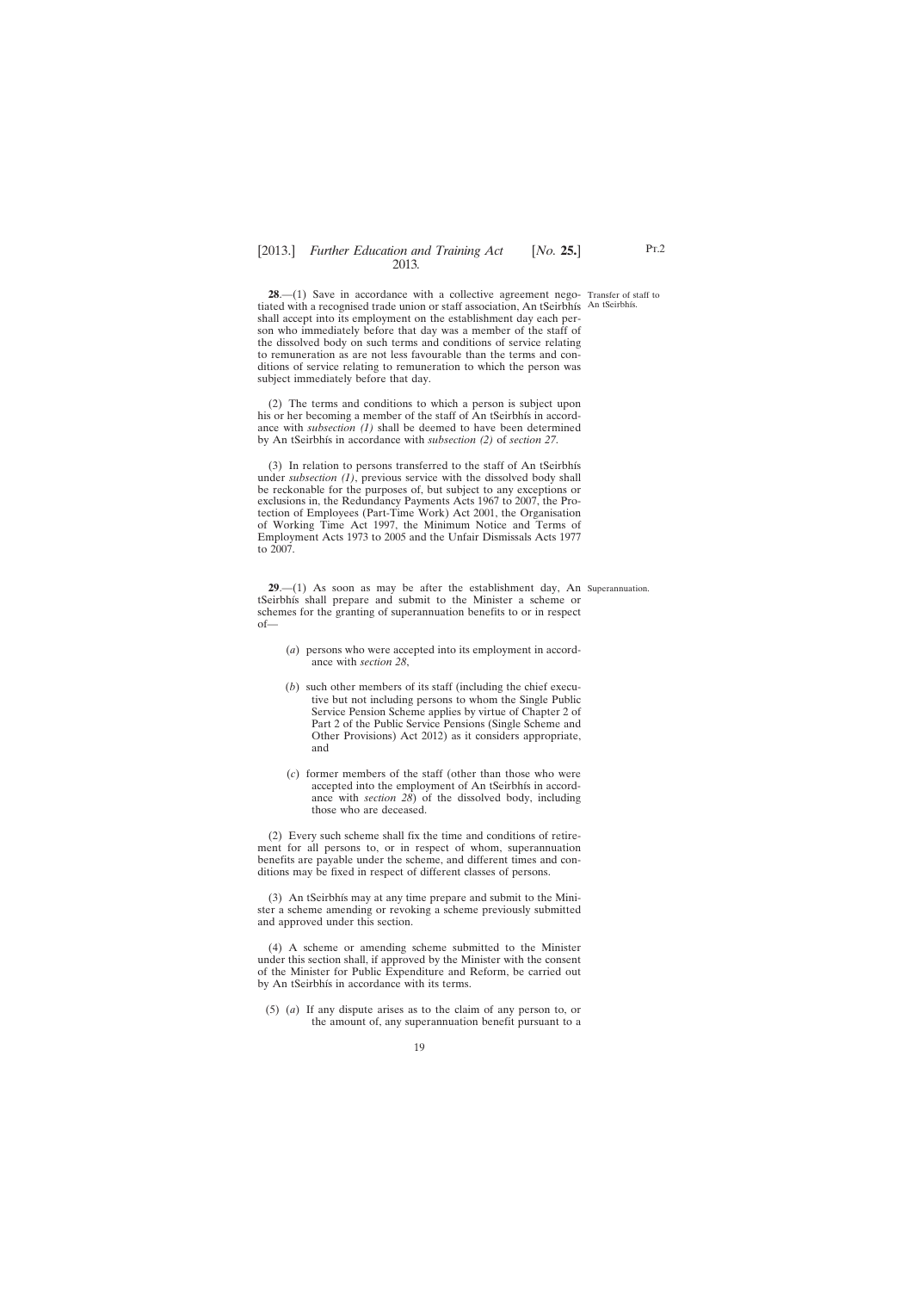<span id="page-18-0"></span>**28.**—(1) Save in accordance with a collective agreement nego- Transfer of staff to tiated with a recognised trade union or staff association, An tSeirbhís An tSeirbhís. shall accept into its employment on the establishment day each person who immediately before that day was a member of the staff of the dissolved body on such terms and conditions of service relating to remuneration as are not less favourable than the terms and conditions of service relating to remuneration to which the person was subject immediately before that day.

(2) The terms and conditions to which a person is subject upon his or her becoming a member of the staff of An tSeirbhís in accordance with *subsection (1)* shall be deemed to have been determined by An tSeirbhís in accordance with *subsection (2)* of *section 27*.

(3) In relation to persons transferred to the staff of An tSeirbhís under *subsection (1)*, previous service with the dissolved body shall be reckonable for the purposes of, but subject to any exceptions or exclusions in, the Redundancy Payments Acts 1967 to 2007, the Protection of Employees (Part-Time Work) Act 2001, the Organisation of Working Time Act 1997, the Minimum Notice and Terms of Employment Acts 1973 to 2005 and the Unfair Dismissals Acts 1977 to 2007.

**29**.—(1) As soon as may be after the establishment day, An Superannuation.tSeirbhís shall prepare and submit to the Minister a scheme or schemes for the granting of superannuation benefits to or in respect of—

- (*a*) persons who were accepted into its employment in accordance with *section 28*,
- (*b*) such other members of its staff (including the chief executive but not including persons to whom the Single Public Service Pension Scheme applies by virtue of Chapter 2 of Part 2 of the Public Service Pensions (Single Scheme and Other Provisions) Act 2012) as it considers appropriate, and
- (*c*) former members of the staff (other than those who were accepted into the employment of An tSeirbhís in accordance with *section 28*) of the dissolved body, including those who are deceased.

(2) Every such scheme shall fix the time and conditions of retirement for all persons to, or in respect of whom, superannuation benefits are payable under the scheme, and different times and conditions may be fixed in respect of different classes of persons.

(3) An tSeirbhís may at any time prepare and submit to the Minister a scheme amending or revoking a scheme previously submitted and approved under this section.

(4) A scheme or amending scheme submitted to the Minister under this section shall, if approved by the Minister with the consent of the Minister for Public Expenditure and Reform, be carried out by An tSeirbhís in accordance with its terms.

(5) (*a*) If any dispute arises as to the claim of any person to, or the amount of, any superannuation benefit pursuant to a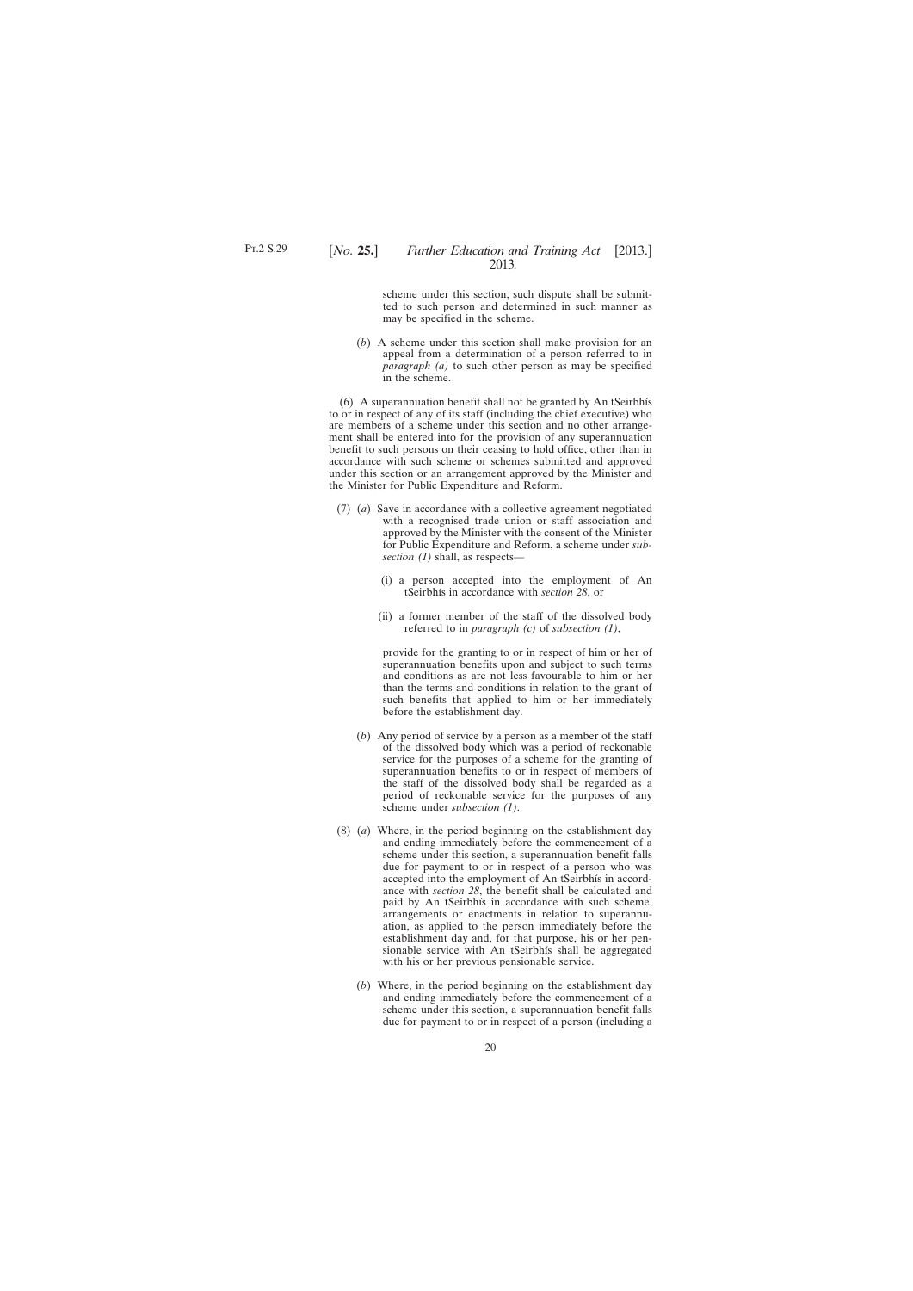scheme under this section, such dispute shall be submitted to such person and determined in such manner as may be specified in the scheme.

(*b*) A scheme under this section shall make provision for an appeal from a determination of a person referred to in *paragraph (a)* to such other person as may be specified in the scheme.

(6) A superannuation benefit shall not be granted by An tSeirbhís to or in respect of any of its staff (including the chief executive) who are members of a scheme under this section and no other arrangement shall be entered into for the provision of any superannuation benefit to such persons on their ceasing to hold office, other than in accordance with such scheme or schemes submitted and approved under this section or an arrangement approved by the Minister and the Minister for Public Expenditure and Reform.

- (7) (*a*) Save in accordance with a collective agreement negotiated with a recognised trade union or staff association and approved by the Minister with the consent of the Minister for Public Expenditure and Reform, a scheme under *subsection (1)* shall, as respects—
	- (i) a person accepted into the employment of An tSeirbhís in accordance with *section 28*, or
	- (ii) a former member of the staff of the dissolved body referred to in *paragraph (c)* of *subsection (1)*,

provide for the granting to or in respect of him or her of superannuation benefits upon and subject to such terms and conditions as are not less favourable to him or her than the terms and conditions in relation to the grant of such benefits that applied to him or her immediately before the establishment day.

- (*b*) Any period of service by a person as a member of the staff of the dissolved body which was a period of reckonable service for the purposes of a scheme for the granting of superannuation benefits to or in respect of members of the staff of the dissolved body shall be regarded as a period of reckonable service for the purposes of any scheme under *subsection (1)*.
- (8) (*a*) Where, in the period beginning on the establishment day and ending immediately before the commencement of a scheme under this section, a superannuation benefit falls due for payment to or in respect of a person who was accepted into the employment of An tSeirbhís in accordance with *section 28*, the benefit shall be calculated and paid by An tSeirbhís in accordance with such scheme, arrangements or enactments in relation to superannuation, as applied to the person immediately before the establishment day and, for that purpose, his or her pensionable service with An tSeirbhís shall be aggregated with his or her previous pensionable service.
	- (*b*) Where, in the period beginning on the establishment day and ending immediately before the commencement of a scheme under this section, a superannuation benefit falls due for payment to or in respect of a person (including a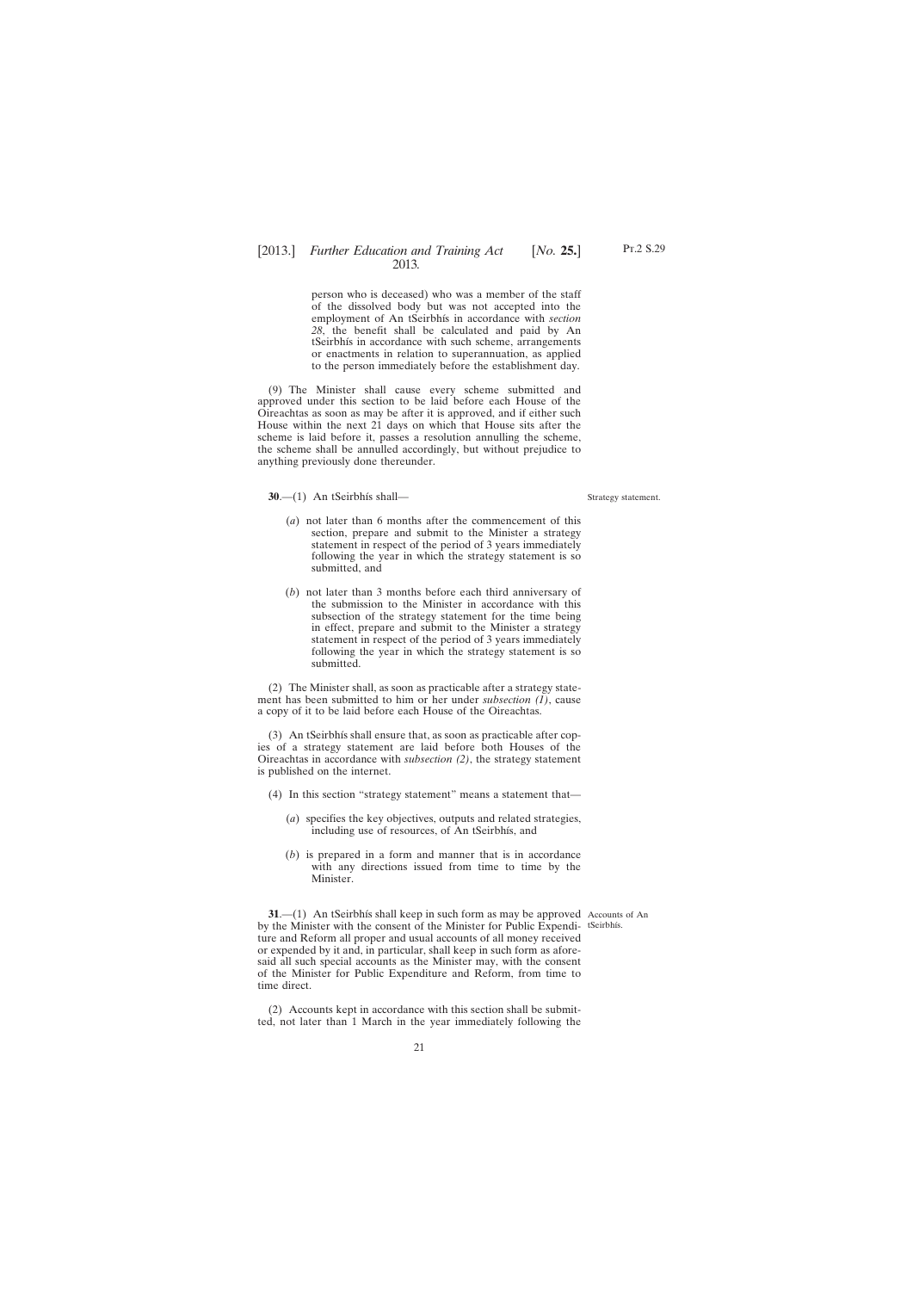<span id="page-20-0"></span>person who is deceased) who was a member of the staff of the dissolved body but was not accepted into the employment of An tSeirbhís in accordance with *section 28*, the benefit shall be calculated and paid by An tSeirbhís in accordance with such scheme, arrangements or enactments in relation to superannuation, as applied to the person immediately before the establishment day.

(9) The Minister shall cause every scheme submitted and approved under this section to be laid before each House of the Oireachtas as soon as may be after it is approved, and if either such House within the next 21 days on which that House sits after the scheme is laid before it, passes a resolution annulling the scheme, the scheme shall be annulled accordingly, but without prejudice to anything previously done thereunder.

**30**.—(1) An tSeirbhís shall—

#### Strategy statement.

Pt.2 S.29

- (*a*) not later than 6 months after the commencement of this section, prepare and submit to the Minister a strategy statement in respect of the period of 3 years immediately following the year in which the strategy statement is so submitted, and
- (*b*) not later than 3 months before each third anniversary of the submission to the Minister in accordance with this subsection of the strategy statement for the time being in effect, prepare and submit to the Minister a strategy statement in respect of the period of 3 years immediately following the year in which the strategy statement is so submitted.

(2) The Minister shall, as soon as practicable after a strategy statement has been submitted to him or her under *subsection (1)*, cause a copy of it to be laid before each House of the Oireachtas.

(3) An tSeirbhís shall ensure that, as soon as practicable after copies of a strategy statement are laid before both Houses of the Oireachtas in accordance with *subsection (2)*, the strategy statement is published on the internet.

- (4) In this section "strategy statement" means a statement that—
	- (*a*) specifies the key objectives, outputs and related strategies, including use of resources, of An tSeirbhís, and
	- (*b*) is prepared in a form and manner that is in accordance with any directions issued from time to time by the Minister.

**31.**—(1) An tSeirbhís shall keep in such form as may be approved Accounts of An by the Minister with the consent of the Minister for Public Expendi-tSeirbhís. ture and Reform all proper and usual accounts of all money received or expended by it and, in particular, shall keep in such form as aforesaid all such special accounts as the Minister may, with the consent of the Minister for Public Expenditure and Reform, from time to time direct.

(2) Accounts kept in accordance with this section shall be submitted, not later than 1 March in the year immediately following the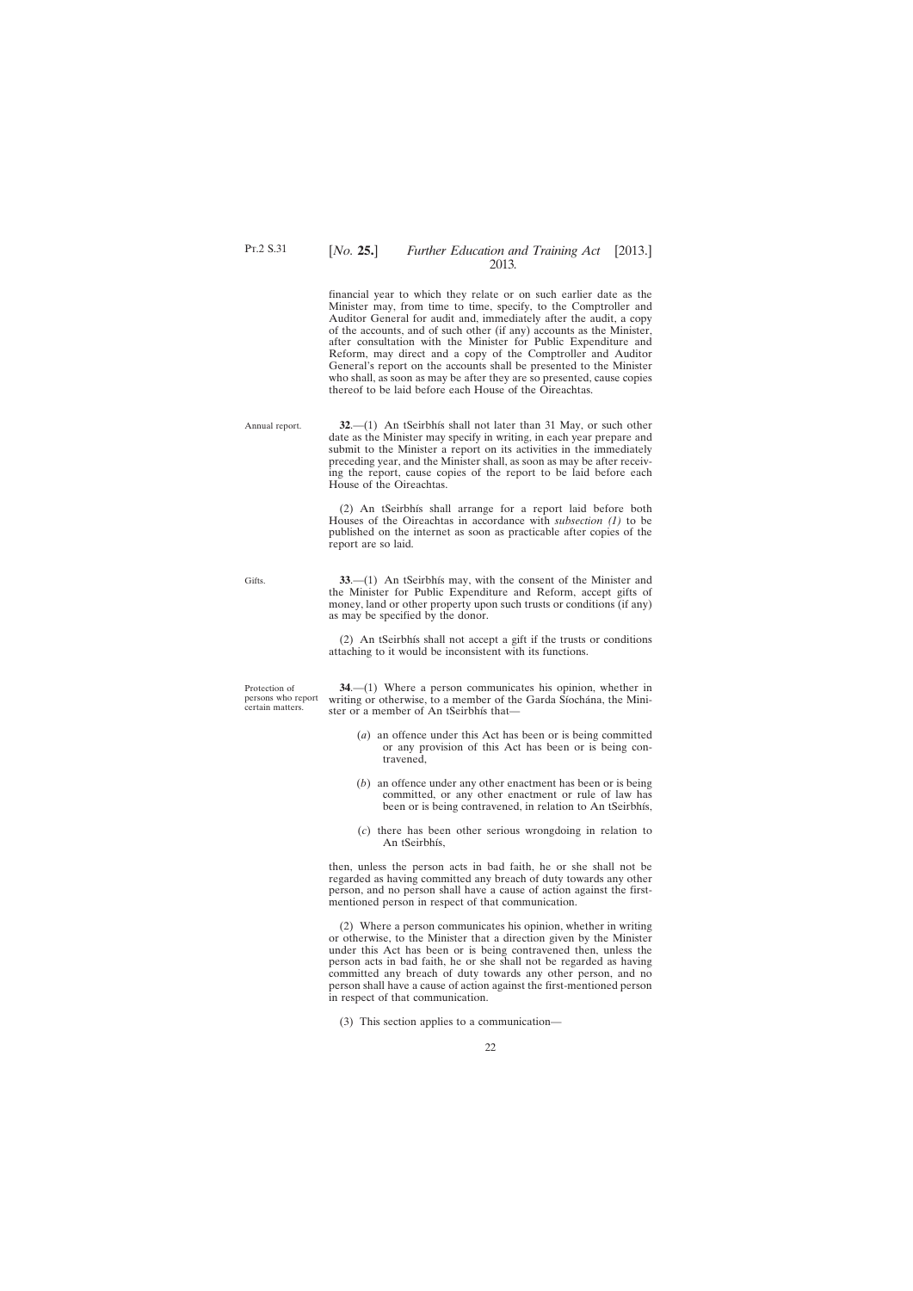Annual report.

Gifts.

#### <span id="page-21-0"></span>[*No.* **25.**] *Further Education and Training Act* [2013.] 2013*.*

financial year to which they relate or on such earlier date as the Minister may, from time to time, specify, to the Comptroller and Auditor General for audit and, immediately after the audit, a copy of the accounts, and of such other (if any) accounts as the Minister, after consultation with the Minister for Public Expenditure and Reform, may direct and a copy of the Comptroller and Auditor General's report on the accounts shall be presented to the Minister who shall, as soon as may be after they are so presented, cause copies thereof to be laid before each House of the Oireachtas.

**32**.—(1) An tSeirbhís shall not later than 31 May, or such other date as the Minister may specify in writing, in each year prepare and submit to the Minister a report on its activities in the immediately preceding year, and the Minister shall, as soon as may be after receiving the report, cause copies of the report to be laid before each House of the Oireachtas.

(2) An tSeirbhís shall arrange for a report laid before both Houses of the Oireachtas in accordance with *subsection (1)* to be published on the internet as soon as practicable after copies of the report are so laid.

**33**.—(1) An tSeirbhís may, with the consent of the Minister and the Minister for Public Expenditure and Reform, accept gifts of money, land or other property upon such trusts or conditions (if any) as may be specified by the donor.

(2) An tSeirbhís shall not accept a gift if the trusts or conditions attaching to it would be inconsistent with its functions.

Protection of persons who report certain matters.

**34**.—(1) Where a person communicates his opinion, whether in writing or otherwise, to a member of the Garda Síochána, the Minister or a member of An tSeirbhís that—

- (*a*) an offence under this Act has been or is being committed or any provision of this Act has been or is being contravened,
- (*b*) an offence under any other enactment has been or is being committed, or any other enactment or rule of law has been or is being contravened, in relation to An tSeirbhís,
- (*c*) there has been other serious wrongdoing in relation to An tSeirbhís,

then, unless the person acts in bad faith, he or she shall not be regarded as having committed any breach of duty towards any other person, and no person shall have a cause of action against the firstmentioned person in respect of that communication.

(2) Where a person communicates his opinion, whether in writing or otherwise, to the Minister that a direction given by the Minister under this Act has been or is being contravened then, unless the person acts in bad faith, he or she shall not be regarded as having committed any breach of duty towards any other person, and no person shall have a cause of action against the first-mentioned person in respect of that communication.

<sup>(3)</sup> This section applies to a communication—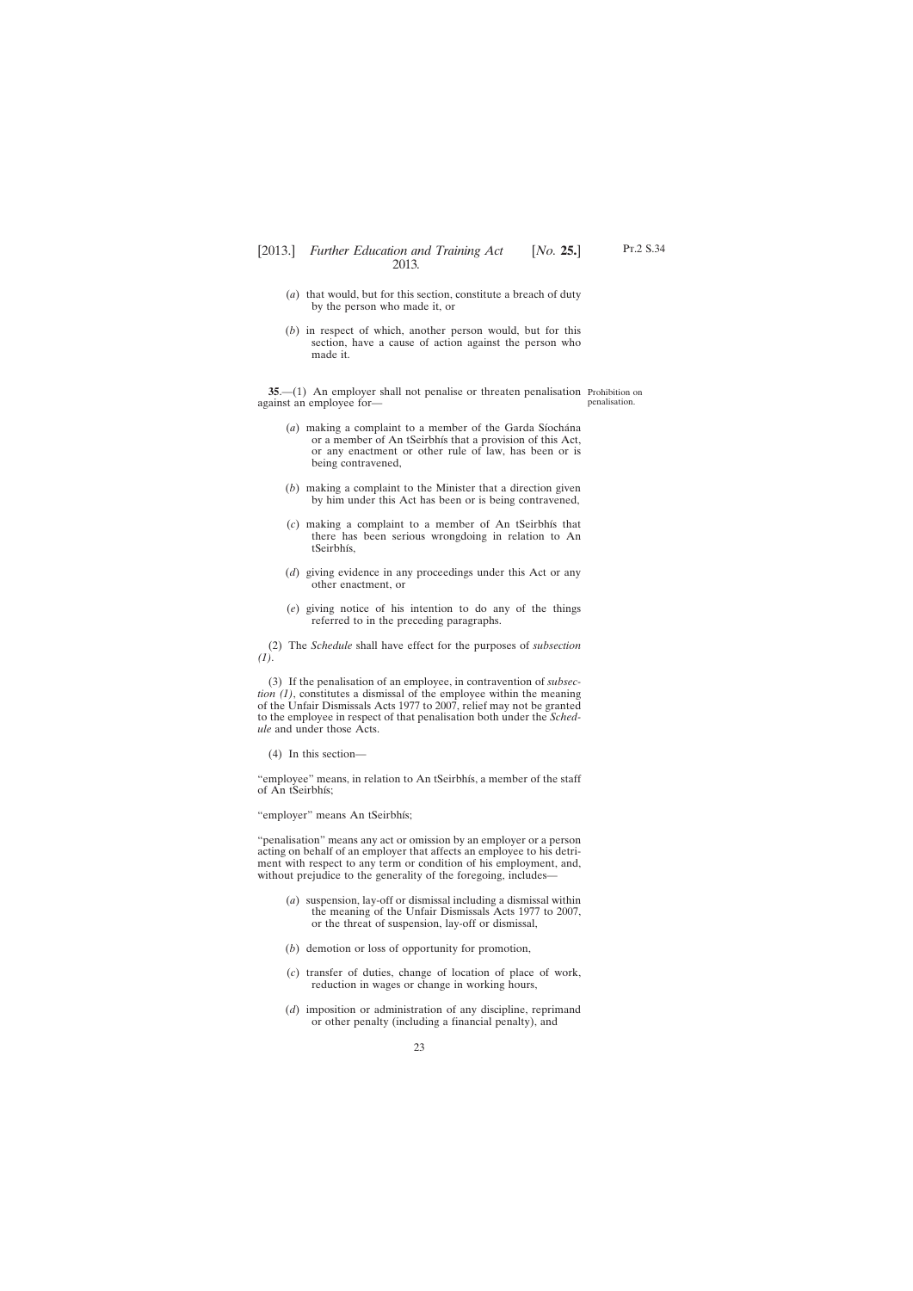- <span id="page-22-0"></span>(*a*) that would, but for this section, constitute a breach of duty by the person who made it, or
- (*b*) in respect of which, another person would, but for this section, have a cause of action against the person who made it.

**35.**—(1) An employer shall not penalise or threaten penalisation Prohibition on against an employee for penalisation.

- (*a*) making a complaint to a member of the Garda Síochána or a member of An tSeirbhís that a provision of this Act, or any enactment or other rule of law, has been or is being contravened,
- (*b*) making a complaint to the Minister that a direction given by him under this Act has been or is being contravened,
- (*c*) making a complaint to a member of An tSeirbhís that there has been serious wrongdoing in relation to An tSeirbhís,
- (*d*) giving evidence in any proceedings under this Act or any other enactment, or
- (*e*) giving notice of his intention to do any of the things referred to in the preceding paragraphs.

(2) The *Schedule* shall have effect for the purposes of *subsection (1)*.

(3) If the penalisation of an employee, in contravention of *subsection (1)*, constitutes a dismissal of the employee within the meaning of the Unfair Dismissals Acts 1977 to 2007, relief may not be granted to the employee in respect of that penalisation both under the *Schedule* and under those Acts.

(4) In this section—

"employee" means, in relation to An tSeirbhís, a member of the staff of An tSeirbhís;

"employer" means An tSeirbhís;

"penalisation" means any act or omission by an employer or a person acting on behalf of an employer that affects an employee to his detriment with respect to any term or condition of his employment, and, without prejudice to the generality of the foregoing, includes—

- (*a*) suspension, lay-off or dismissal including a dismissal within the meaning of the Unfair Dismissals Acts 1977 to 2007, or the threat of suspension, lay-off or dismissal,
- (*b*) demotion or loss of opportunity for promotion,
- (*c*) transfer of duties, change of location of place of work, reduction in wages or change in working hours,
- (*d*) imposition or administration of any discipline, reprimand or other penalty (including a financial penalty), and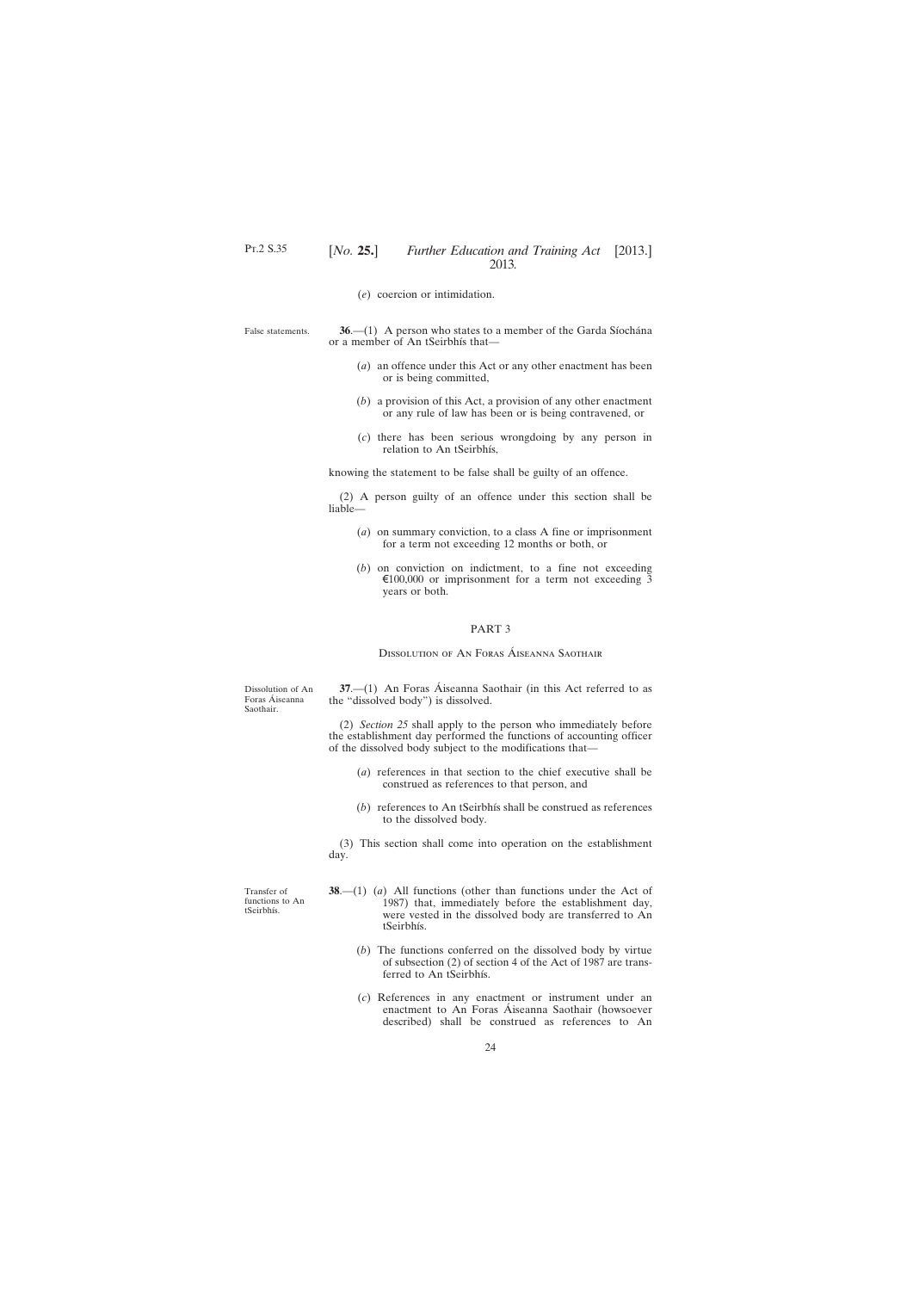(*e*) coercion or intimidation.

<span id="page-23-0"></span>False statements.

**36**.—(1) A person who states to a member of the Garda Síochána or a member of An tSeirbhís that—

- (*a*) an offence under this Act or any other enactment has been or is being committed,
- (*b*) a provision of this Act, a provision of any other enactment or any rule of law has been or is being contravened, or
- (*c*) there has been serious wrongdoing by any person in relation to An tSeirbhís,

knowing the statement to be false shall be guilty of an offence.

(2) A person guilty of an offence under this section shall be liable—

- (*a*) on summary conviction, to a class A fine or imprisonment for a term not exceeding 12 months or both, or
- (*b*) on conviction on indictment, to a fine not exceeding €100,000 or imprisonment for a term not exceeding  $\overline{3}$ years or both.

#### PART 3

Dissolution of An Foras Áiseanna Saothair

Dissolution of An Foras Áiseanna Saothair.

**37**.—(1) An Foras Áiseanna Saothair (in this Act referred to as the "dissolved body") is dissolved.

(2) *Section 25* shall apply to the person who immediately before the establishment day performed the functions of accounting officer of the dissolved body subject to the modifications that—

- (*a*) references in that section to the chief executive shall be construed as references to that person, and
- (*b*) references to An tSeirbhís shall be construed as references to the dissolved body.

(3) This section shall come into operation on the establishment day.

Transfer of functions to An tSeirbhís.

- **38**.—(1) (*a*) All functions (other than functions under the Act of 1987) that, immediately before the establishment day, were vested in the dissolved body are transferred to An tSeirbhís.
	- (*b*) The functions conferred on the dissolved body by virtue of subsection (2) of section 4 of the Act of 1987 are transferred to An tSeirbhís.
	- (*c*) References in any enactment or instrument under an enactment to An Foras Áiseanna Saothair (howsoever described) shall be construed as references to An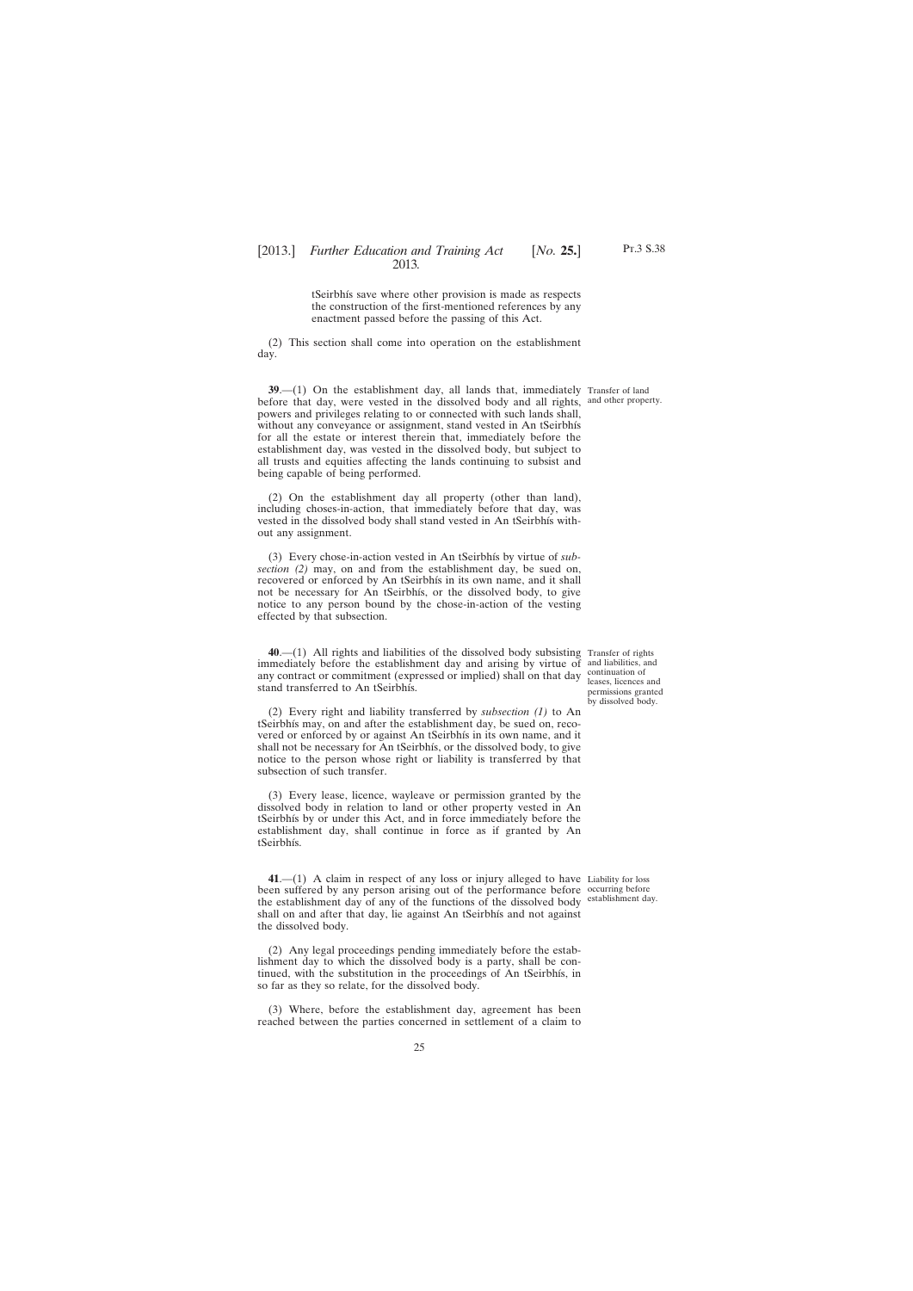Pt.3 S.38

tSeirbhís save where other provision is made as respects the construction of the first-mentioned references by any enactment passed before the passing of this Act.

<span id="page-24-0"></span>(2) This section shall come into operation on the establishment day.

**39**.—(1) On the establishment day, all lands that, immediately Transfer of land before that day, were vested in the dissolved body and all rights, and other property. powers and privileges relating to or connected with such lands shall, without any conveyance or assignment, stand vested in An tSeirbhís for all the estate or interest therein that, immediately before the establishment day, was vested in the dissolved body, but subject to all trusts and equities affecting the lands continuing to subsist and being capable of being performed.

(2) On the establishment day all property (other than land), including choses-in-action, that immediately before that day, was vested in the dissolved body shall stand vested in An tSeirbhís without any assignment.

(3) Every chose-in-action vested in An tSeirbhís by virtue of *subsection (2)* may, on and from the establishment day, be sued on, recovered or enforced by An tSeirbhís in its own name, and it shall not be necessary for An tSeirbhís, or the dissolved body, to give notice to any person bound by the chose-in-action of the vesting effected by that subsection.

**40**.—(1) All rights and liabilities of the dissolved body subsisting Transfer of rights immediately before the establishment day and arising by virtue of and liabilities, and any contract or commitment (expressed or implied) shall on that day stand transferred to An tSeirbhís.

continuation of leases, licences and permissions granted by dissolved body.

(2) Every right and liability transferred by *subsection (1)* to An tSeirbhís may, on and after the establishment day, be sued on, recovered or enforced by or against An tSeirbhís in its own name, and it shall not be necessary for An tSeirbhís, or the dissolved body, to give notice to the person whose right or liability is transferred by that subsection of such transfer.

(3) Every lease, licence, wayleave or permission granted by the dissolved body in relation to land or other property vested in An tSeirbhís by or under this Act, and in force immediately before the establishment day, shall continue in force as if granted by An tSeirbhís.

**41**.—(1) A claim in respect of any loss or injury alleged to have Liability for loss been suffered by any person arising out of the performance before occurring before the establishment day of any of the functions of the dissolved body shall on and after that day, lie against An tSeirbhís and not against the dissolved body. establishment day.

(2) Any legal proceedings pending immediately before the establishment day to which the dissolved body is a party, shall be continued, with the substitution in the proceedings of An tSeirbhís, in so far as they so relate, for the dissolved body.

(3) Where, before the establishment day, agreement has been reached between the parties concerned in settlement of a claim to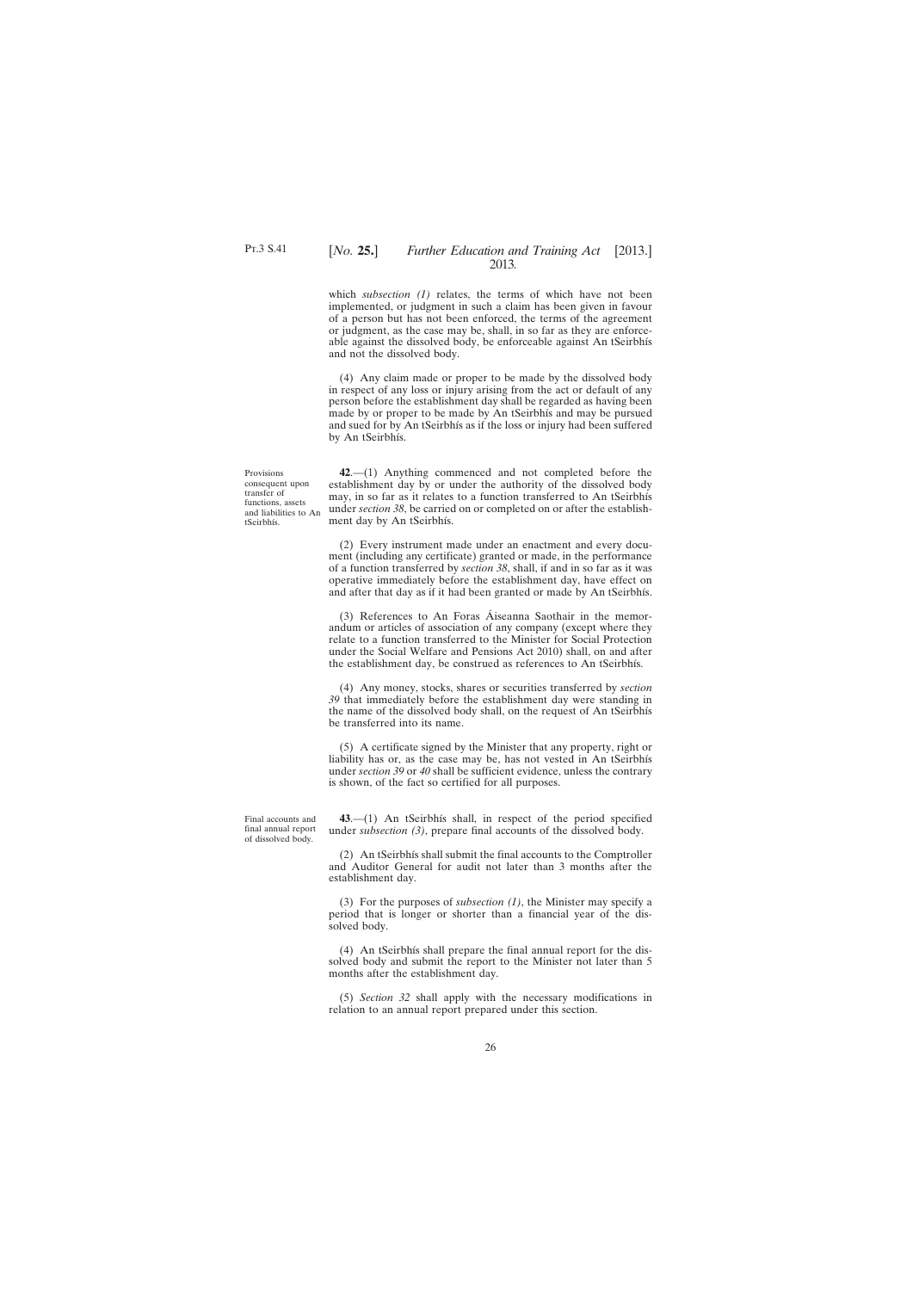<span id="page-25-0"></span>which *subsection (1)* relates, the terms of which have not been implemented, or judgment in such a claim has been given in favour of a person but has not been enforced, the terms of the agreement or judgment, as the case may be, shall, in so far as they are enforceable against the dissolved body, be enforceable against An tSeirbhís and not the dissolved body.

(4) Any claim made or proper to be made by the dissolved body in respect of any loss or injury arising from the act or default of any person before the establishment day shall be regarded as having been made by or proper to be made by An tSeirbhís and may be pursued and sued for by An tSeirbhís as if the loss or injury had been suffered by An tSeirbhís.

Provisions consequent upon transfer of functions, assets and liabilities to An tSeirbhís.

**42**.—(1) Anything commenced and not completed before the establishment day by or under the authority of the dissolved body may, in so far as it relates to a function transferred to An tSeirbhís under *section 38*, be carried on or completed on or after the establishment day by An tSeirbhís.

(2) Every instrument made under an enactment and every document (including any certificate) granted or made, in the performance of a function transferred by *section 38*, shall, if and in so far as it was operative immediately before the establishment day, have effect on and after that day as if it had been granted or made by An tSeirbhís.

(3) References to An Foras Áiseanna Saothair in the memorandum or articles of association of any company (except where they relate to a function transferred to the Minister for Social Protection under the Social Welfare and Pensions Act 2010) shall, on and after the establishment day, be construed as references to An tSeirbhís.

(4) Any money, stocks, shares or securities transferred by *section 39* that immediately before the establishment day were standing in the name of the dissolved body shall, on the request of An tSeirbhís be transferred into its name.

(5) A certificate signed by the Minister that any property, right or liability has or, as the case may be, has not vested in An tSeirbhís under *section 39* or *40* shall be sufficient evidence, unless the contrary is shown, of the fact so certified for all purposes.

Final accounts and final annual report of dissolved body.

**43**.—(1) An tSeirbhís shall, in respect of the period specified under *subsection* (3), prepare final accounts of the dissolved body.

(2) An tSeirbhís shall submit the final accounts to the Comptroller and Auditor General for audit not later than 3 months after the establishment day.

(3) For the purposes of *subsection (1)*, the Minister may specify a period that is longer or shorter than a financial year of the dissolved body.

(4) An tSeirbhís shall prepare the final annual report for the dissolved body and submit the report to the Minister not later than 5 months after the establishment day.

(5) *Section 32* shall apply with the necessary modifications in relation to an annual report prepared under this section.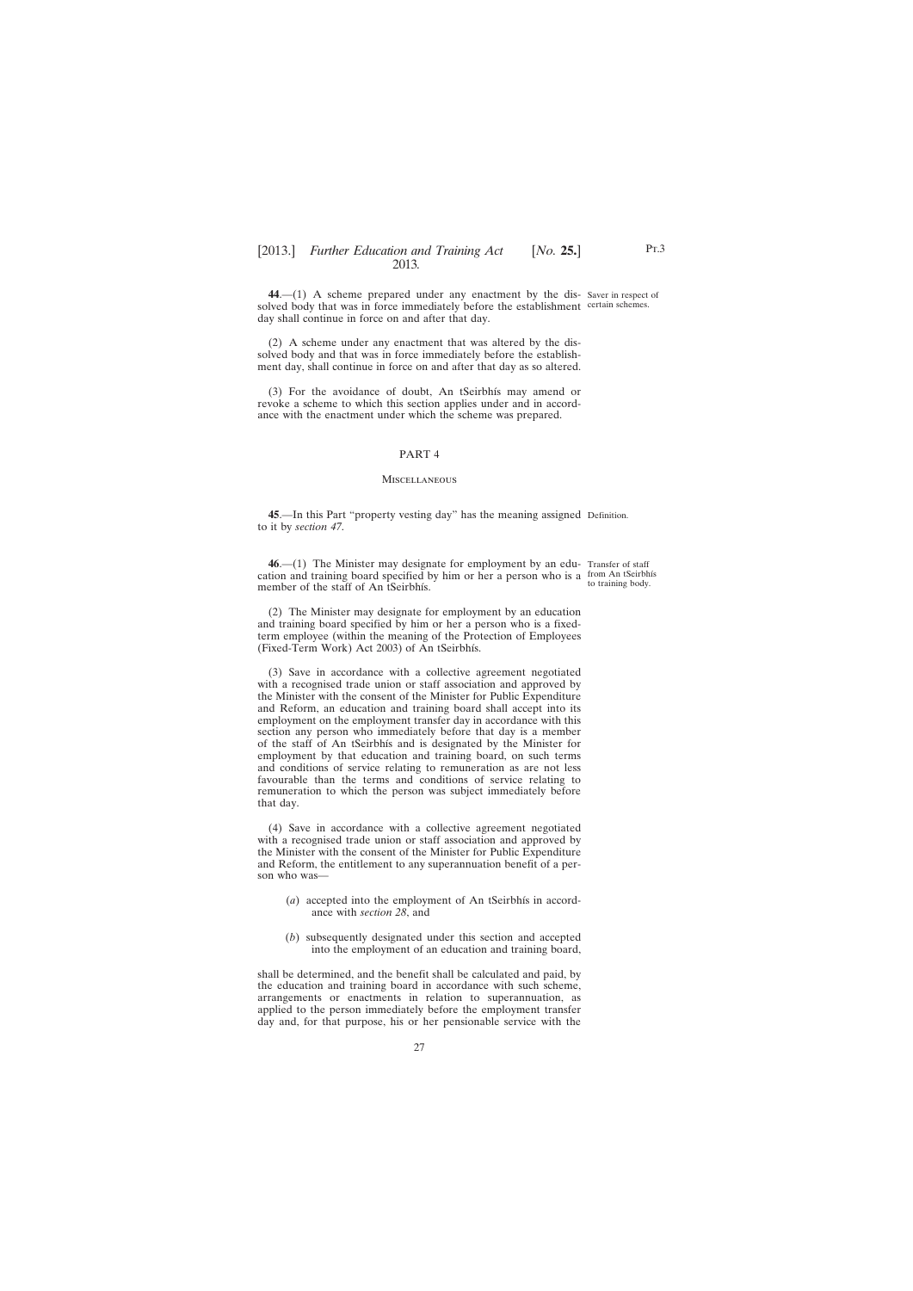<span id="page-26-0"></span>**44**.—(1) A scheme prepared under any enactment by the dis-Saver in respect of solved body that was in force immediately before the establishment certain schemes. day shall continue in force on and after that day.

(2) A scheme under any enactment that was altered by the dissolved body and that was in force immediately before the establishment day, shall continue in force on and after that day as so altered.

(3) For the avoidance of doubt, An tSeirbhís may amend or revoke a scheme to which this section applies under and in accordance with the enactment under which the scheme was prepared.

#### PART 4

#### **MISCELLANEOUS**

**45**.—In this Part "property vesting day" has the meaning assigned Definition. to it by *section 47*.

**46.**—(1) The Minister may designate for employment by an edu- Transfer of staff cation and training board specified by him or her a person who is a from An tSeirbhís member of the staff of An tSeirbhís. to training body.

(2) The Minister may designate for employment by an education and training board specified by him or her a person who is a fixedterm employee (within the meaning of the Protection of Employees (Fixed-Term Work) Act 2003) of An tSeirbhís.

(3) Save in accordance with a collective agreement negotiated with a recognised trade union or staff association and approved by the Minister with the consent of the Minister for Public Expenditure and Reform, an education and training board shall accept into its employment on the employment transfer day in accordance with this section any person who immediately before that day is a member of the staff of An tSeirbhís and is designated by the Minister for employment by that education and training board, on such terms and conditions of service relating to remuneration as are not less favourable than the terms and conditions of service relating to remuneration to which the person was subject immediately before that day.

(4) Save in accordance with a collective agreement negotiated with a recognised trade union or staff association and approved by the Minister with the consent of the Minister for Public Expenditure and Reform, the entitlement to any superannuation benefit of a person who was—

- (*a*) accepted into the employment of An tSeirbhís in accordance with *section 28*, and
- (*b*) subsequently designated under this section and accepted into the employment of an education and training board,

shall be determined, and the benefit shall be calculated and paid, by the education and training board in accordance with such scheme, arrangements or enactments in relation to superannuation, as applied to the person immediately before the employment transfer day and, for that purpose, his or her pensionable service with the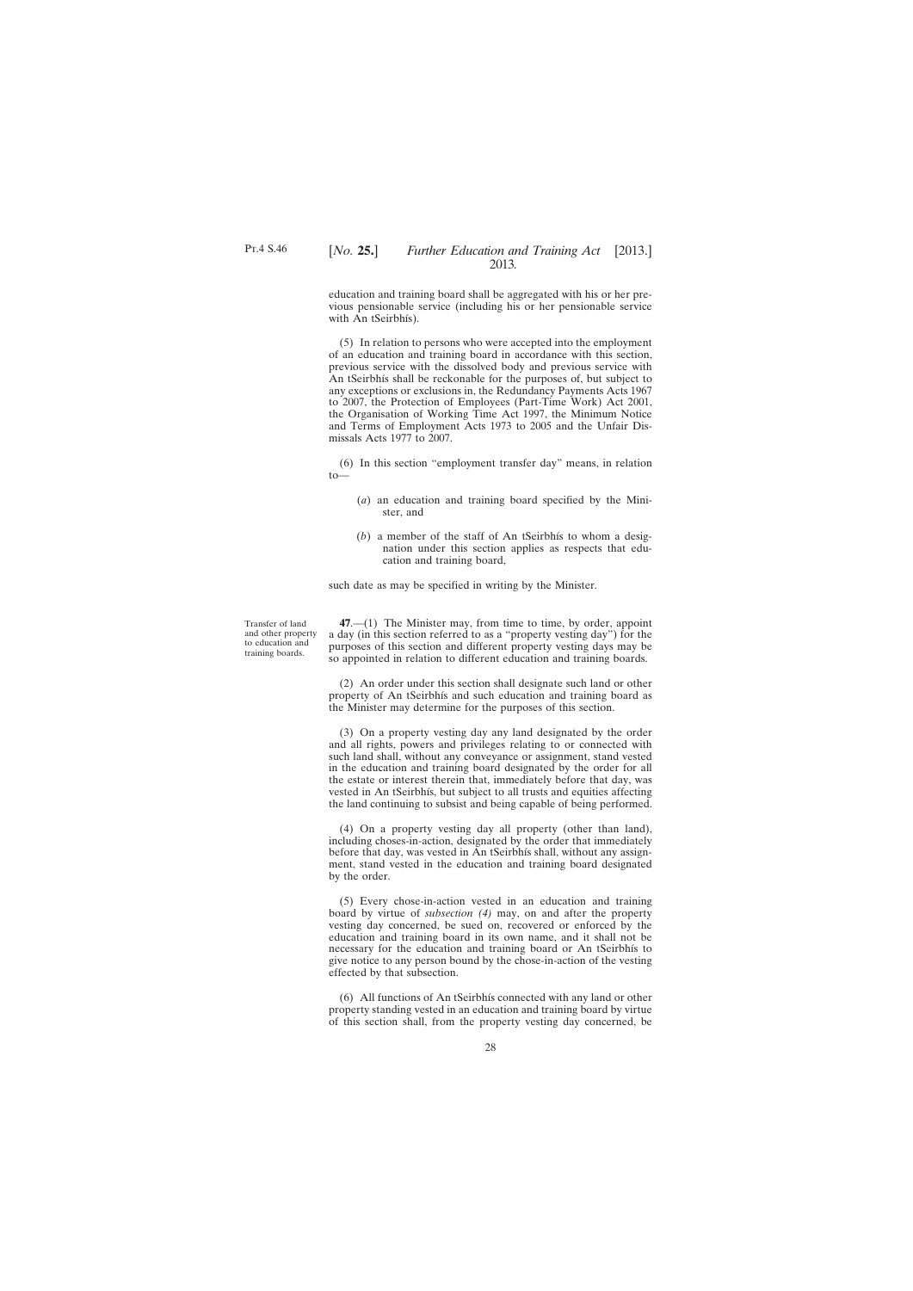<span id="page-27-0"></span>education and training board shall be aggregated with his or her previous pensionable service (including his or her pensionable service with An tSeirbhís).

(5) In relation to persons who were accepted into the employment of an education and training board in accordance with this section, previous service with the dissolved body and previous service with An tSeirbhís shall be reckonable for the purposes of, but subject to any exceptions or exclusions in, the Redundancy Payments Acts 1967 to 2007, the Protection of Employees (Part-Time Work) Act 2001, the Organisation of Working Time Act 1997, the Minimum Notice and Terms of Employment Acts 1973 to 2005 and the Unfair Dismissals Acts 1977 to 2007.

(6) In this section "employment transfer day" means, in relation to—

- (*a*) an education and training board specified by the Minister, and
- (*b*) a member of the staff of An tSeirbhís to whom a designation under this section applies as respects that education and training board,

such date as may be specified in writing by the Minister.

Transfer of land and other property to education and training boards.

**47**.—(1) The Minister may, from time to time, by order, appoint a day (in this section referred to as a "property vesting day") for the purposes of this section and different property vesting days may be so appointed in relation to different education and training boards.

(2) An order under this section shall designate such land or other property of An tSeirbhís and such education and training board as the Minister may determine for the purposes of this section.

(3) On a property vesting day any land designated by the order and all rights, powers and privileges relating to or connected with such land shall, without any conveyance or assignment, stand vested in the education and training board designated by the order for all the estate or interest therein that, immediately before that day, was vested in An tSeirbhís, but subject to all trusts and equities affecting the land continuing to subsist and being capable of being performed.

(4) On a property vesting day all property (other than land), including choses-in-action, designated by the order that immediately before that day, was vested in An tSeirbhís shall, without any assignment, stand vested in the education and training board designated by the order.

(5) Every chose-in-action vested in an education and training board by virtue of *subsection (4)* may, on and after the property vesting day concerned, be sued on, recovered or enforced by the education and training board in its own name, and it shall not be necessary for the education and training board or An tSeirbhís to give notice to any person bound by the chose-in-action of the vesting effected by that subsection.

(6) All functions of An tSeirbhís connected with any land or other property standing vested in an education and training board by virtue of this section shall, from the property vesting day concerned, be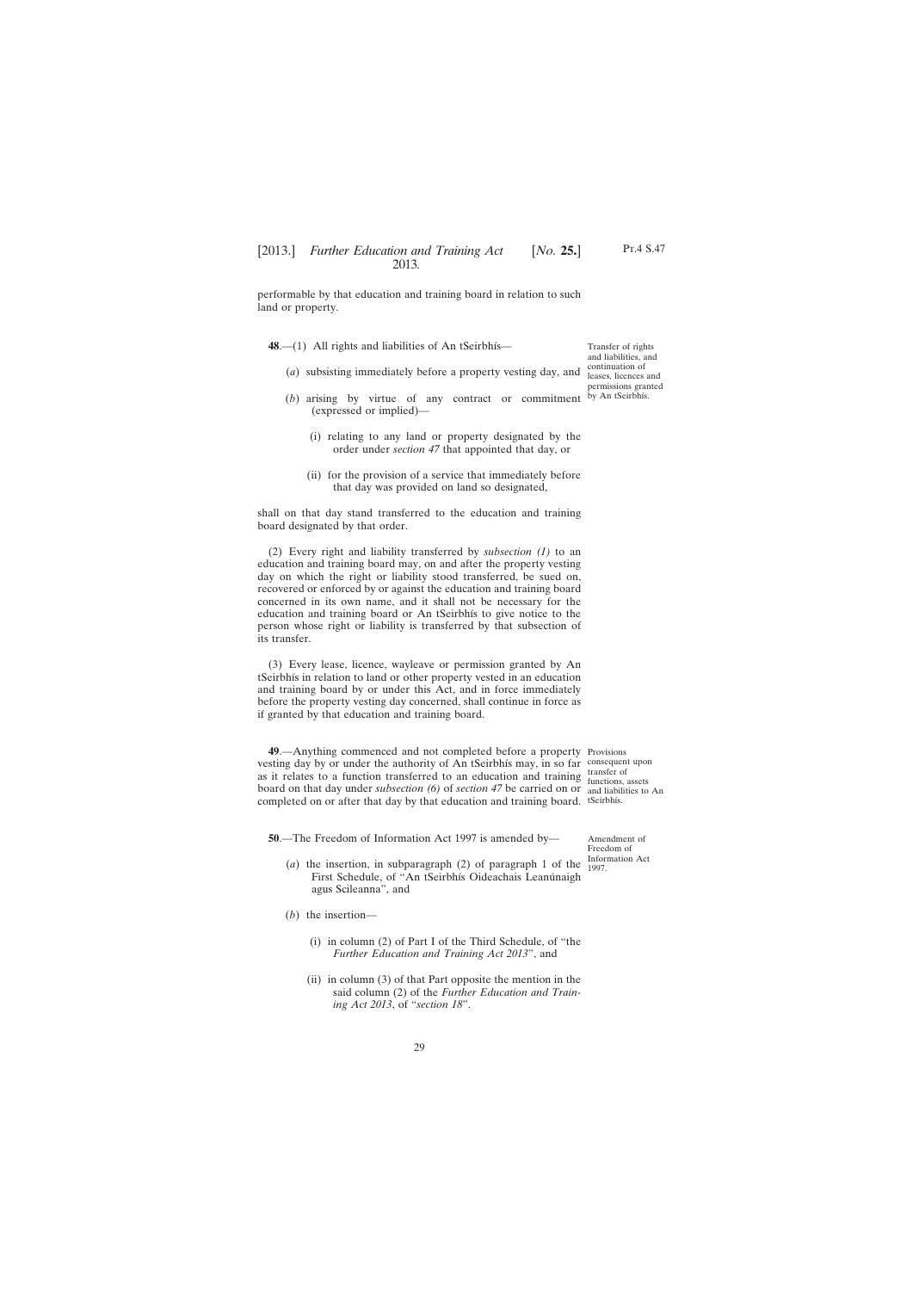<span id="page-28-0"></span>performable by that education and training board in relation to such land or property.

48.—(1) All rights and liabilities of An tSeirbhís—

- (*a*) subsisting immediately before a property vesting day, and
- $(b)$  arising by virtue of any contract or commitment by An tSeirbhís. (expressed or implied)—
	- (i) relating to any land or property designated by the order under *section 47* that appointed that day, or
	- (ii) for the provision of a service that immediately before that day was provided on land so designated,

shall on that day stand transferred to the education and training board designated by that order.

(2) Every right and liability transferred by *subsection (1)* to an education and training board may, on and after the property vesting day on which the right or liability stood transferred, be sued on, recovered or enforced by or against the education and training board concerned in its own name, and it shall not be necessary for the education and training board or An tSeirbhís to give notice to the person whose right or liability is transferred by that subsection of its transfer.

(3) Every lease, licence, wayleave or permission granted by An tSeirbhís in relation to land or other property vested in an education and training board by or under this Act, and in force immediately before the property vesting day concerned, shall continue in force as if granted by that education and training board.

**49**.—Anything commenced and not completed before a property Provisions vesting day by or under the authority of An tSeirbhís may, in so far consequent upon as it relates to a function transferred to an education and training  $\frac{\text{transfer of}}{\text{functions}}$ board on that day under *subsection (6)* of *section 47* be carried on or and liabilities to An completed on or after that day by that education and training board. tSeirbhís.

functions, assets

**50**.—The Freedom of Information Act 1997 is amended by—

Amendment of Freedom of Information Act 1997.

- (*a*) the insertion, in subparagraph (2) of paragraph 1 of the First Schedule, of "An tSeirbhís Oideachais Leanúnaigh agus Scileanna", and
- (*b*) the insertion—
	- (i) in column (2) of Part I of the Third Schedule, of "the *Further Education and Training Act 2013*", and
	- (ii) in column (3) of that Part opposite the mention in the said column (2) of the *Further Education and Training Act 2013*, of "*section 18*".

29

Pt.4 S.47

Transfer of rights and liabilities, and continuation of leases, licences and permissions granted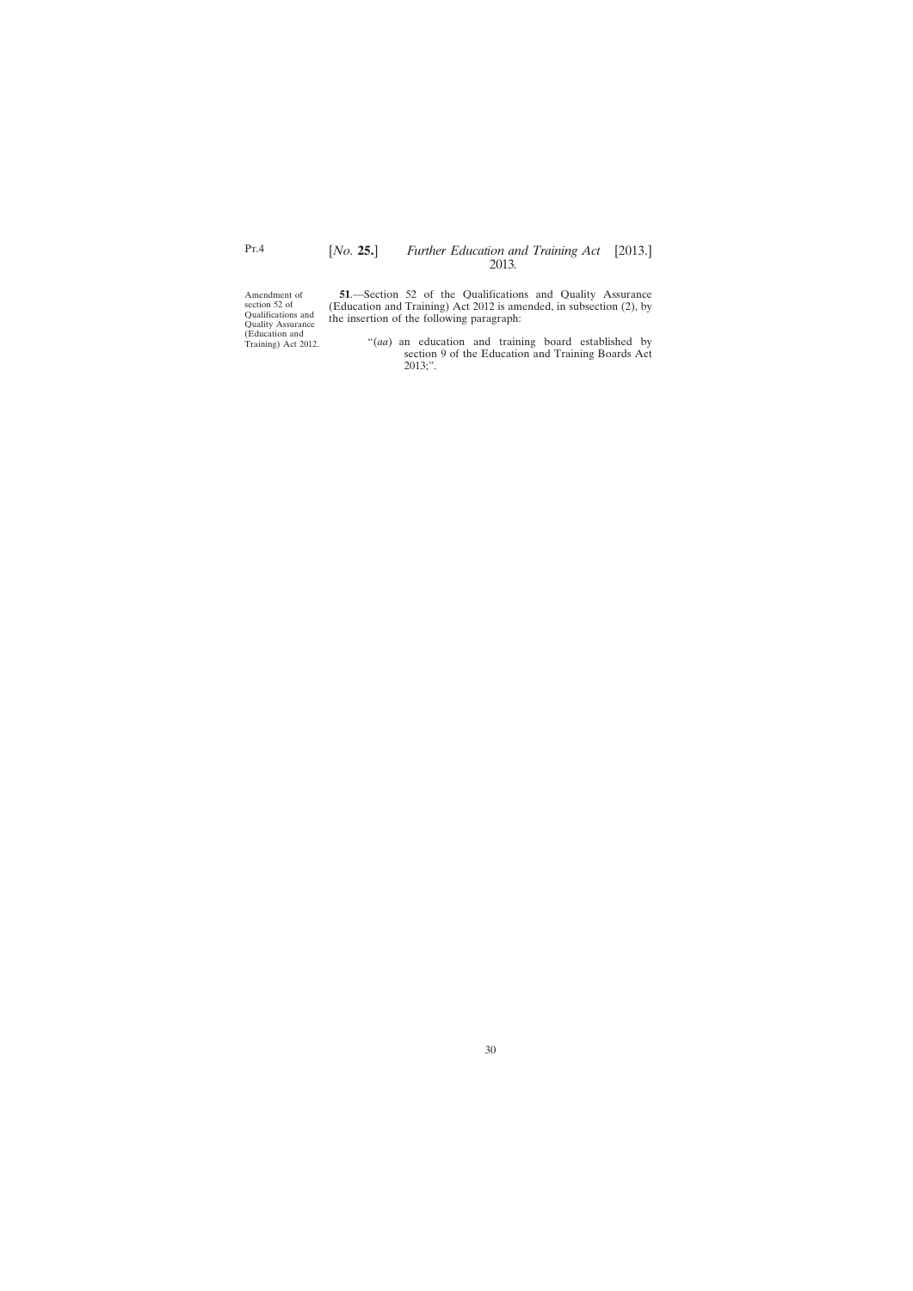Amendment of section 52 of Qualifications and Quality Assurance (Education and Training) Act 2012.

**51**.—Section 52 of the Qualifications and Quality Assurance (Education and Training) Act 2012 is amended, in subsection (2), by the insertion of the following paragraph:

> "(*aa*) an education and training board established by section 9 of the Education and Training Boards Act 2013;".

<span id="page-29-0"></span>P<sub>T.4</sub>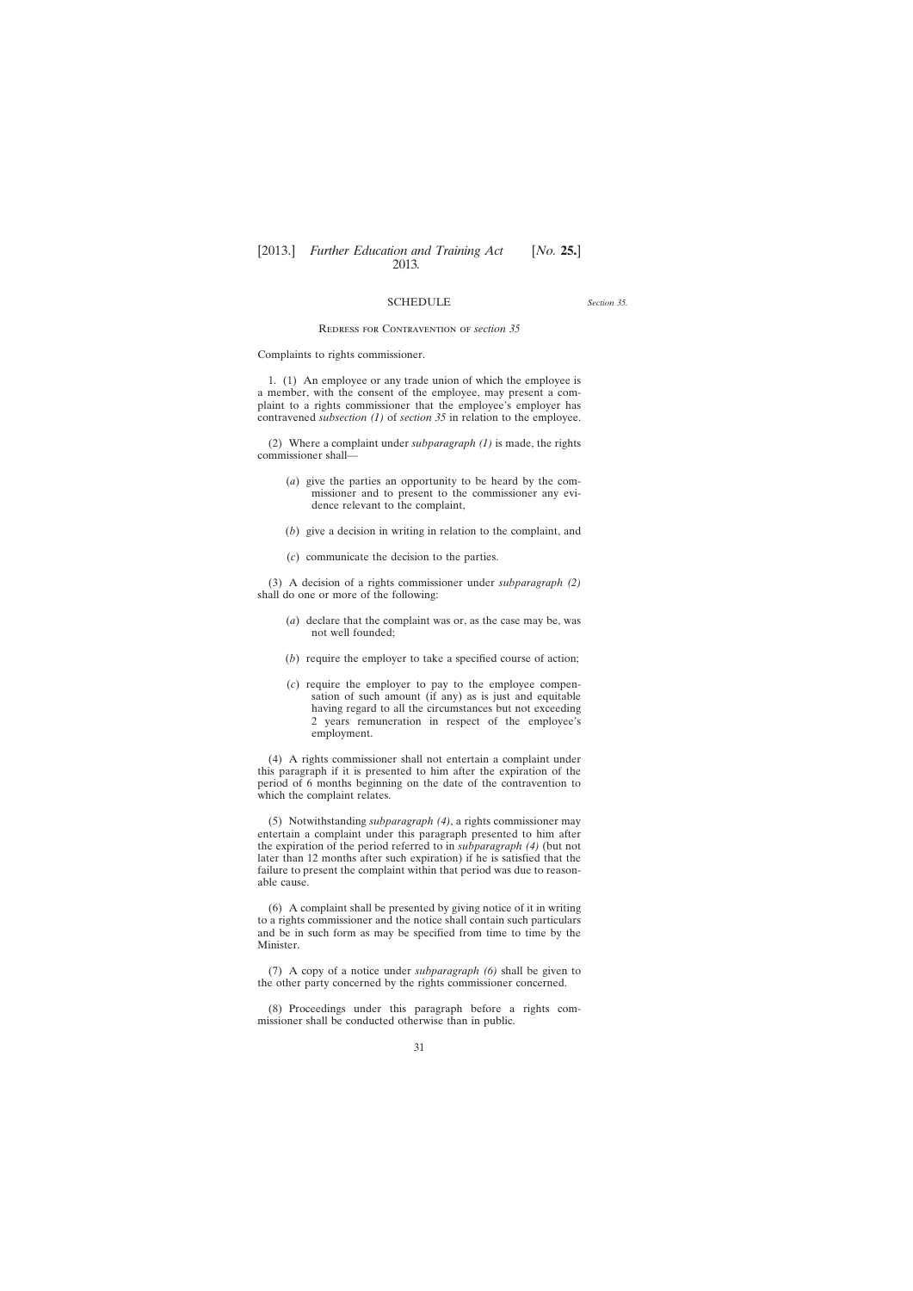# **SCHEDULE**

*Section 35.*

#### Redress for Contravention of *section 35*

<span id="page-30-0"></span>Complaints to rights commissioner.

1. (1) An employee or any trade union of which the employee is a member, with the consent of the employee, may present a complaint to a rights commissioner that the employee's employer has contravened *subsection (1)* of *section 35* in relation to the employee.

(2) Where a complaint under *subparagraph (1)* is made, the rights commissioner shall—

- (*a*) give the parties an opportunity to be heard by the commissioner and to present to the commissioner any evidence relevant to the complaint,
- (*b*) give a decision in writing in relation to the complaint, and
- (*c*) communicate the decision to the parties.

(3) A decision of a rights commissioner under *subparagraph (2)* shall do one or more of the following:

- (*a*) declare that the complaint was or, as the case may be, was not well founded;
- (*b*) require the employer to take a specified course of action;
- (*c*) require the employer to pay to the employee compensation of such amount (if any) as is just and equitable having regard to all the circumstances but not exceeding 2 years remuneration in respect of the employee's employment.

(4) A rights commissioner shall not entertain a complaint under this paragraph if it is presented to him after the expiration of the period of 6 months beginning on the date of the contravention to which the complaint relates.

(5) Notwithstanding *subparagraph (4)*, a rights commissioner may entertain a complaint under this paragraph presented to him after the expiration of the period referred to in *subparagraph (4)* (but not later than 12 months after such expiration) if he is satisfied that the failure to present the complaint within that period was due to reasonable cause.

(6) A complaint shall be presented by giving notice of it in writing to a rights commissioner and the notice shall contain such particulars and be in such form as may be specified from time to time by the Minister.

(7) A copy of a notice under *subparagraph (6)* shall be given to the other party concerned by the rights commissioner concerned.

(8) Proceedings under this paragraph before a rights commissioner shall be conducted otherwise than in public.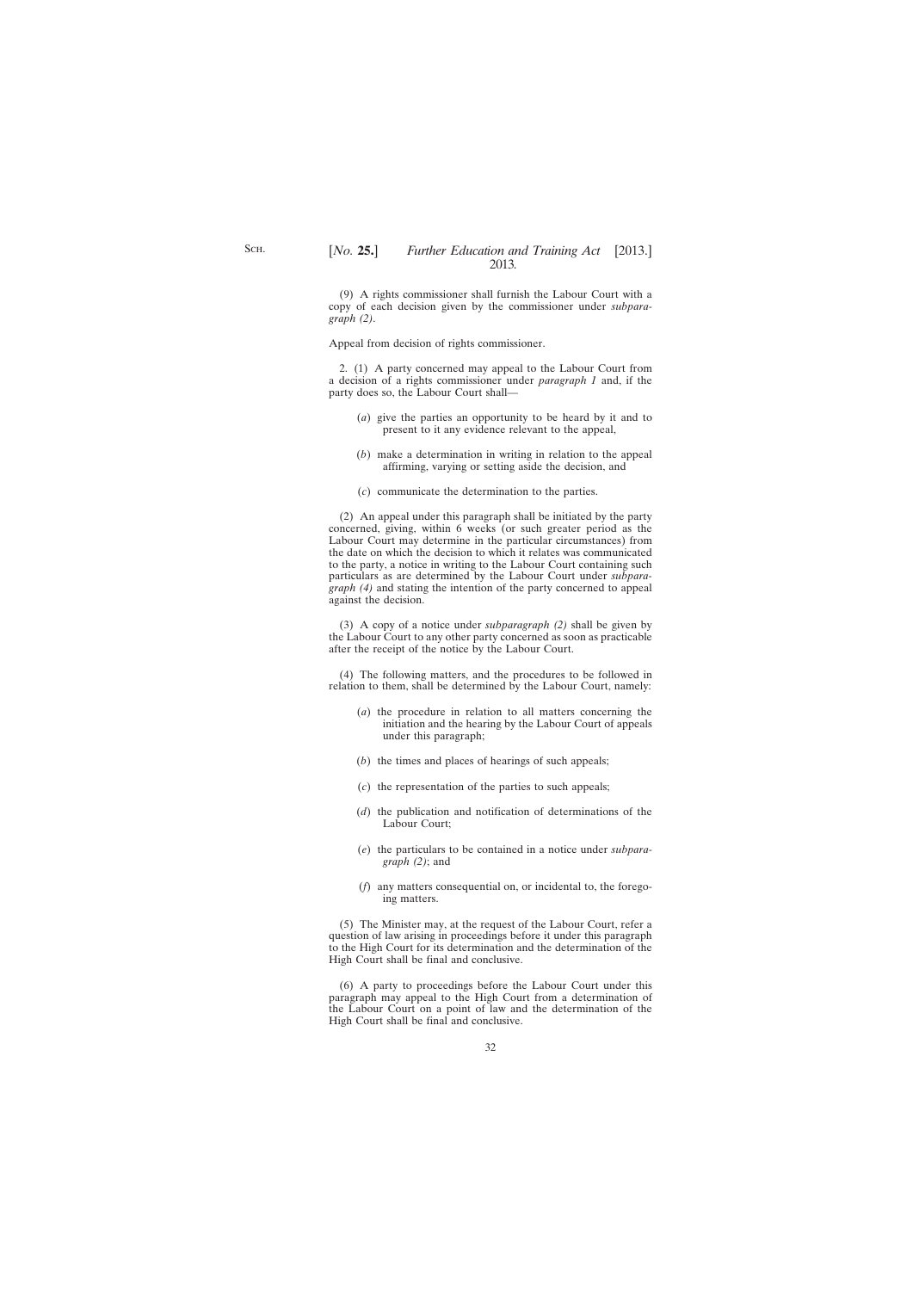(9) A rights commissioner shall furnish the Labour Court with a copy of each decision given by the commissioner under *subparagraph (2)*.

Appeal from decision of rights commissioner.

2. (1) A party concerned may appeal to the Labour Court from a decision of a rights commissioner under *paragraph 1* and, if the party does so, the Labour Court shall—

- (*a*) give the parties an opportunity to be heard by it and to present to it any evidence relevant to the appeal,
- (*b*) make a determination in writing in relation to the appeal affirming, varying or setting aside the decision, and
- (*c*) communicate the determination to the parties.

(2) An appeal under this paragraph shall be initiated by the party concerned, giving, within 6 weeks (or such greater period as the Labour Court may determine in the particular circumstances) from the date on which the decision to which it relates was communicated to the party, a notice in writing to the Labour Court containing such particulars as are determined by the Labour Court under *subparagraph (4)* and stating the intention of the party concerned to appeal against the decision.

(3) A copy of a notice under *subparagraph (2)* shall be given by the Labour Court to any other party concerned as soon as practicable after the receipt of the notice by the Labour Court.

(4) The following matters, and the procedures to be followed in relation to them, shall be determined by the Labour Court, namely:

- (*a*) the procedure in relation to all matters concerning the initiation and the hearing by the Labour Court of appeals under this paragraph;
- (*b*) the times and places of hearings of such appeals;
- (*c*) the representation of the parties to such appeals;
- (*d*) the publication and notification of determinations of the Labour Court;
- (*e*) the particulars to be contained in a notice under *subparagraph (2)*; and
- (*f*) any matters consequential on, or incidental to, the foregoing matters.

(5) The Minister may, at the request of the Labour Court, refer a question of law arising in proceedings before it under this paragraph to the High Court for its determination and the determination of the High Court shall be final and conclusive.

(6) A party to proceedings before the Labour Court under this paragraph may appeal to the High Court from a determination of the Labour Court on a point of law and the determination of the High Court shall be final and conclusive.

S<sub>CH</sub>.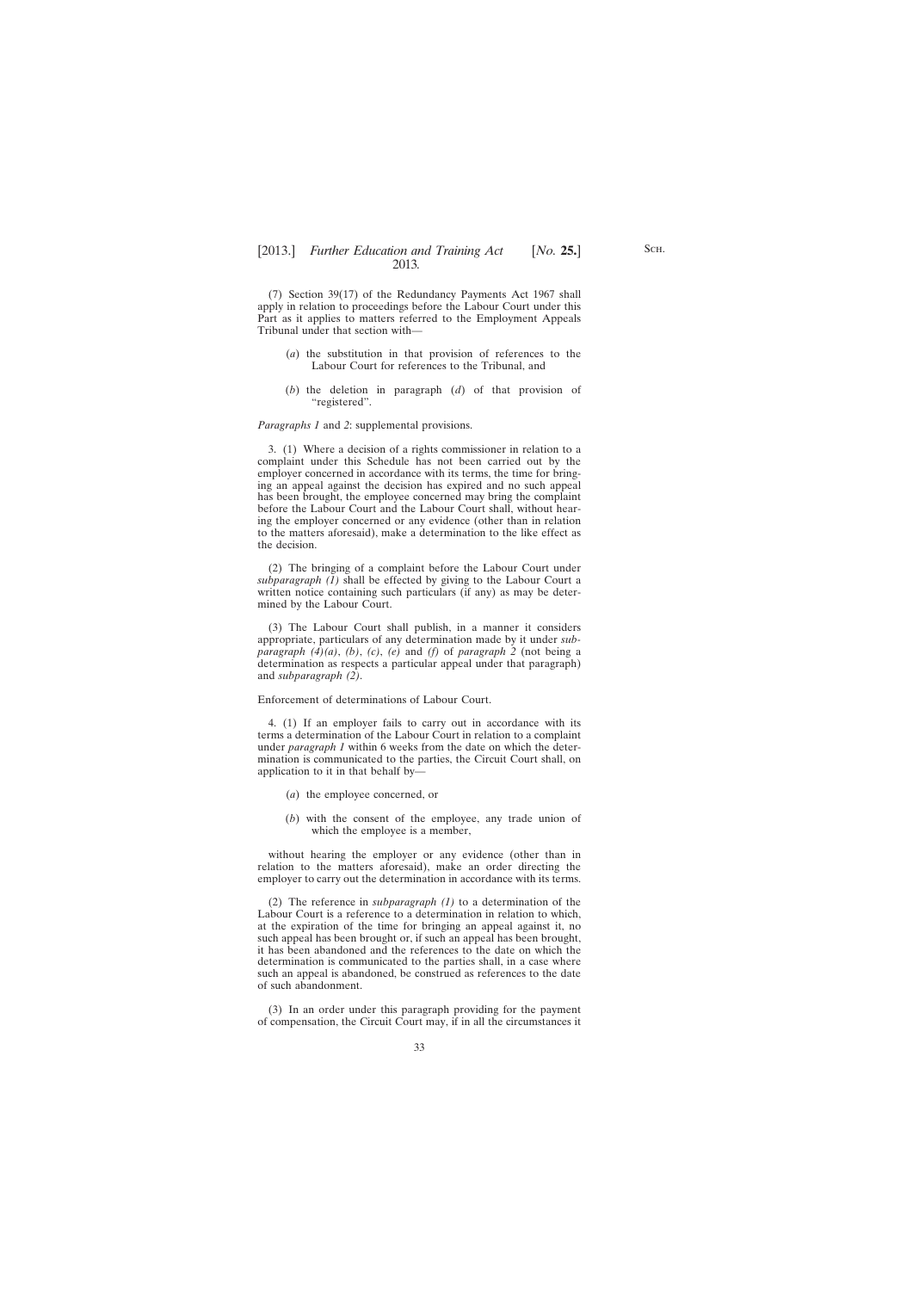(7) Section 39(17) of the Redundancy Payments Act 1967 shall apply in relation to proceedings before the Labour Court under this Part as it applies to matters referred to the Employment Appeals Tribunal under that section with—

- (*a*) the substitution in that provision of references to the Labour Court for references to the Tribunal, and
- (*b*) the deletion in paragraph (*d*) of that provision of "registered".

#### *Paragraphs 1* and *2*: supplemental provisions.

3. (1) Where a decision of a rights commissioner in relation to a complaint under this Schedule has not been carried out by the employer concerned in accordance with its terms, the time for bringing an appeal against the decision has expired and no such appeal has been brought, the employee concerned may bring the complaint before the Labour Court and the Labour Court shall, without hearing the employer concerned or any evidence (other than in relation to the matters aforesaid), make a determination to the like effect as the decision.

(2) The bringing of a complaint before the Labour Court under  $subparagraph$  ( $\overline{I}$ ) shall be effected by giving to the Labour Court a written notice containing such particulars (if any) as may be determined by the Labour Court.

(3) The Labour Court shall publish, in a manner it considers appropriate, particulars of any determination made by it under *subparagraph*  $(4)(a)$ ,  $(b)$ ,  $(c)$ ,  $(e)$  and  $(f)$  of *paragraph* 2 (not being a determination as respects a particular appeal under that paragraph) and *subparagraph (2)*.

#### Enforcement of determinations of Labour Court.

4. (1) If an employer fails to carry out in accordance with its terms a determination of the Labour Court in relation to a complaint under *paragraph 1* within 6 weeks from the date on which the determination is communicated to the parties, the Circuit Court shall, on application to it in that behalf by—

- (*a*) the employee concerned, or
- (*b*) with the consent of the employee, any trade union of which the employee is a member,

without hearing the employer or any evidence (other than in relation to the matters aforesaid), make an order directing the employer to carry out the determination in accordance with its terms.

(2) The reference in *subparagraph (1)* to a determination of the Labour Court is a reference to a determination in relation to which, at the expiration of the time for bringing an appeal against it, no such appeal has been brought or, if such an appeal has been brought, it has been abandoned and the references to the date on which the determination is communicated to the parties shall, in a case where such an appeal is abandoned, be construed as references to the date of such abandonment.

(3) In an order under this paragraph providing for the payment of compensation, the Circuit Court may, if in all the circumstances it